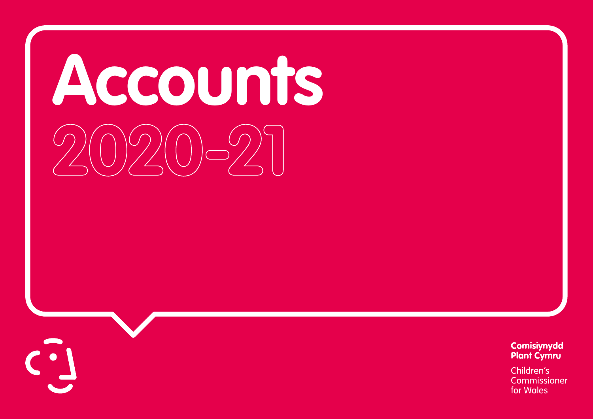# **Accounts 2020-21**

Comisiynydd **Plant Cymru** 

Children's Commissioner for Wales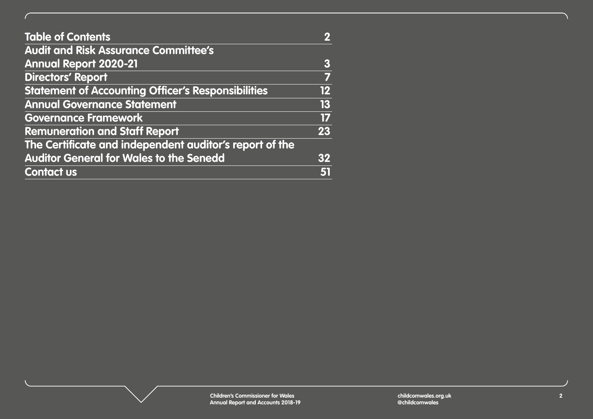| <b>Table of Contents</b>                                  |    |
|-----------------------------------------------------------|----|
| <b>Audit and Risk Assurance Committee's</b>               |    |
| <b>Annual Report 2020-21</b>                              | 3  |
| <b>Directors' Report</b>                                  |    |
| <b>Statement of Accounting Officer's Responsibilities</b> | 12 |
| <b>Annual Governance Statement</b>                        | 13 |
| <b>Governance Framework</b>                               | 17 |
| <b>Remuneration and Staff Report</b>                      | 23 |
| The Certificate and independent auditor's report of the   |    |
| <b>Auditor General for Wales to the Senedd</b>            | 32 |
| <b>Contact us</b>                                         |    |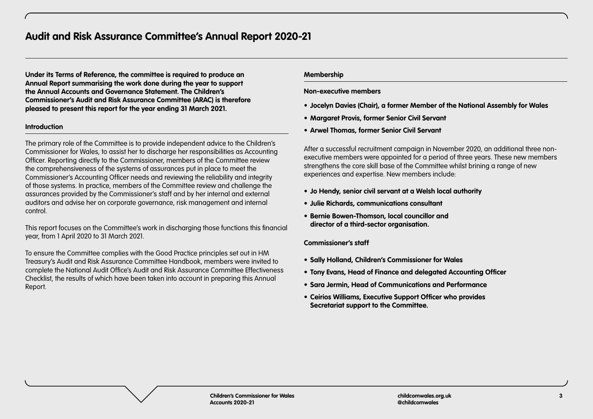# <span id="page-2-0"></span>**Audit and Risk Assurance Committee's Annual Report 2020-21**

**Under its Terms of Reference, the committee is required to produce an Annual Report summarising the work done during the year to support the Annual Accounts and Governance Statement. The Children's Commissioner's Audit and Risk Assurance Committee (ARAC) is therefore pleased to present this report for the year ending 31 March 2021.**

#### **Introduction**

The primary role of the Committee is to provide independent advice to the Children's Commissioner for Wales, to assist her to discharge her responsibilities as Accounting Officer. Reporting directly to the Commissioner, members of the Committee review the comprehensiveness of the systems of assurances put in place to meet the Commissioner's Accounting Officer needs and reviewing the reliability and integrity of those systems. In practice, members of the Committee review and challenge the assurances provided by the Commissioner's staff and by her internal and external auditors and advise her on corporate governance, risk management and internal control.

This report focuses on the Committee's work in discharging those functions this financial year, from 1 April 2020 to 31 March 2021.

To ensure the Committee complies with the Good Practice principles set out in HM Treasury's Audit and Risk Assurance Committee Handbook, members were invited to complete the National Audit Office's Audit and Risk Assurance Committee Effectiveness Checklist, the results of which have been taken into account in preparing this Annual Report.

#### **Membership**

#### **Non-executive members**

- **• Jocelyn Davies (Chair), a former Member of the National Assembly for Wales**
- **• Margaret Provis, former Senior Civil Servant**
- **• Arwel Thomas, former Senior Civil Servant**

After a successful recruitment campaign in November 2020, an additional three nonexecutive members were appointed for a period of three years. These new members strengthens the core skill base of the Committee whilst brining a range of new experiences and expertise. New members include:

- **• Jo Hendy, senior civil servant at a Welsh local authority**
- **• Julie Richards, communications consultant**
- **• Bernie Bowen-Thomson, local councillor and director of a third-sector organisation.**

#### **Commissioner's staff**

- **• Sally Holland, Children's Commissioner for Wales**
- **• Tony Evans, Head of Finance and delegated Accounting Officer**
- **• Sara Jermin, Head of Communications and Performance**
- **• Ceirios Williams, Executive Support Officer who provides Secretariat support to the Committee.**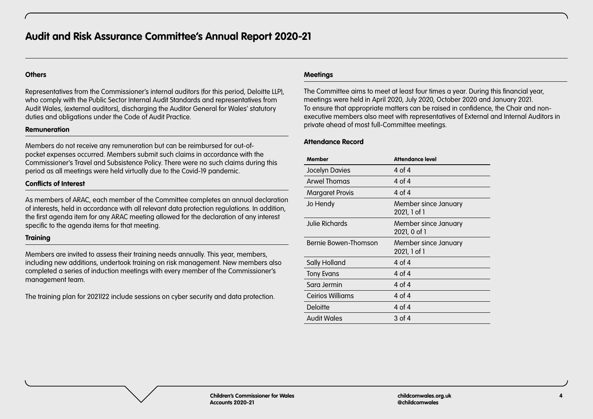## **Others**

Representatives from the Commissioner's internal auditors (for this period, Deloitte LLP), who comply with the Public Sector Internal Audit Standards and representatives from Audit Wales, (external auditors), discharging the Auditor General for Wales' statutory duties and obligations under the Code of Audit Practice.

#### **Remuneration**

Members do not receive any remuneration but can be reimbursed for out-ofpocket expenses occurred. Members submit such claims in accordance with the Commissioner's Travel and Subsistence Policy. There were no such claims during this period as all meetings were held virtually due to the Covid-19 pandemic.

# **Conflicts of Interest**

As members of ARAC, each member of the Committee completes an annual declaration of interests, held in accordance with all relevant data protection regulations. In addition, the first agenda item for any ARAC meeting allowed for the declaration of any interest specific to the agenda items for that meeting.

## **Training**

Members are invited to assess their training needs annually. This year, members, including new additions, undertook training on risk management. New members also completed a series of induction meetings with every member of the Commissioner's management team.

The training plan for 2021|22 include sessions on cyber security and data protection.

## **Meetings**

The Committee aims to meet at least four times a year. During this financial year, meetings were held in April 2020, July 2020, October 2020 and January 2021. To ensure that appropriate matters can be raised in confidence, the Chair and nonexecutive members also meet with representatives of External and Internal Auditors in private ahead of most full-Committee meetings.

## **Attendance Record**

| <b>Member</b>           | <b>Attendance level</b>              |
|-------------------------|--------------------------------------|
| Jocelyn Davies          | 4 of 4                               |
| Arwel Thomas            | 4 of 4                               |
| <b>Margaret Provis</b>  | 4 of 4                               |
| Jo Hendy                | Member since January<br>2021, 1 of 1 |
| Julie Richards          | Member since January<br>2021, 0 of 1 |
| Bernie Bowen-Thomson    | Member since January<br>2021, 1 of 1 |
| Sally Holland           | 4 of 4                               |
| Tony Evans              | 4 of 4                               |
| Sara Jermin             | 4 of 4                               |
| <b>Ceirios Williams</b> | 4 of 4                               |
| <b>Deloitte</b>         | 4 of 4                               |
| <b>Audit Wales</b>      | 3 of 4                               |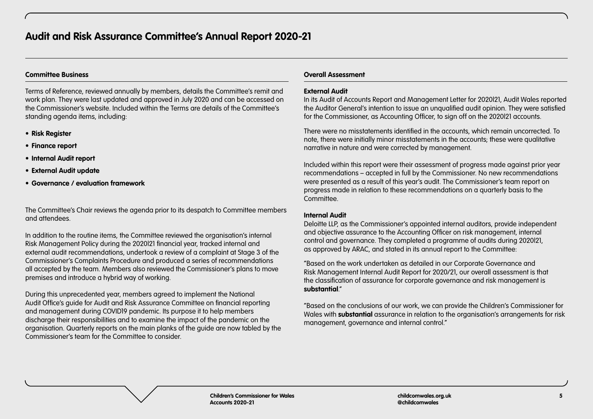# **Committee Business**

Terms of Reference, reviewed annually by members, details the Committee's remit and work plan. They were last updated and approved in July 2020 and can be accessed on the Commissioner's website. Included within the Terms are details of the Committee's standing agenda items, including:

- **• Risk Register**
- **• Finance report**
- **• Internal Audit report**
- **• External Audit update**
- **• Governance / evaluation framework**

The Committee's Chair reviews the agenda prior to its despatch to Committee members and attendees.

In addition to the routine items, the Committee reviewed the organisation's internal Risk Management Policy during the 2020|21 financial year, tracked internal and external audit recommendations, undertook a review of a complaint at Stage 3 of the Commissioner's Complaints Procedure and produced a series of recommendations all accepted by the team. Members also reviewed the Commissioner's plans to move premises and introduce a hybrid way of working.

During this unprecedented year, members agreed to implement the National Audit Office's guide for Audit and Risk Assurance Committee on financial reporting and management during COVID19 pandemic. Its purpose it to help members discharge their responsibilities and to examine the impact of the pandemic on the organisation. Quarterly reports on the main planks of the guide are now tabled by the Commissioner's team for the Committee to consider.

# **Overall Assessment**

# **External Audit**

In its Audit of Accounts Report and Management Letter for 2020|21, Audit Wales reported the Auditor General's intention to issue an unqualified audit opinion. They were satisfied for the Commissioner, as Accounting Officer, to sign off on the 2020|21 accounts.

There were no misstatements identified in the accounts, which remain uncorrected. To note, there were initially minor misstatements in the accounts; these were qualitative narrative in nature and were corrected by management.

Included within this report were their assessment of progress made against prior year recommendations – accepted in full by the Commissioner. No new recommendations were presented as a result of this year's audit. The Commissioner's team report on progress made in relation to these recommendations on a quarterly basis to the Committee.

# **Internal Audit**

Deloitte LLP, as the Commissioner's appointed internal auditors, provide independent and objective assurance to the Accounting Officer on risk management, internal control and governance. They completed a programme of audits during 2020|21, as approved by ARAC, and stated in its annual report to the Committee:

"Based on the work undertaken as detailed in our Corporate Governance and Risk Management Internal Audit Report for 2020/21, our overall assessment is that the classification of assurance for corporate governance and risk management is **substantial**."

"Based on the conclusions of our work, we can provide the Children's Commissioner for Wales with **substantial** assurance in relation to the organisation's arrangements for risk management, governance and internal control."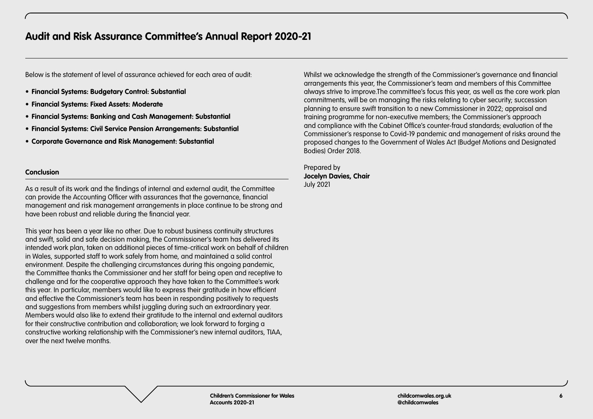Below is the statement of level of assurance achieved for each area of audit:

- **• Financial Systems: Budgetary Control: Substantial**
- **• Financial Systems: Fixed Assets: Moderate**
- **• Financial Systems: Banking and Cash Management: Substantial**
- **• Financial Systems: Civil Service Pension Arrangements: Substantial**
- **• Corporate Governance and Risk Management: Substantial**

# **Conclusion**

As a result of its work and the findings of internal and external audit, the Committee can provide the Accounting Officer with assurances that the governance, financial management and risk management arrangements in place continue to be strong and have been robust and reliable during the financial year.

This year has been a year like no other. Due to robust business continuity structures and swift, solid and safe decision making, the Commissioner's team has delivered its intended work plan, taken on additional pieces of time-critical work on behalf of children in Wales, supported staff to work safely from home, and maintained a solid control environment. Despite the challenging circumstances during this ongoing pandemic, the Committee thanks the Commissioner and her staff for being open and receptive to challenge and for the cooperative approach they have taken to the Committee's work this year. In particular, members would like to express their gratitude in how efficient and effective the Commissioner's team has been in responding positively to requests and suggestions from members whilst juggling during such an extraordinary year. Members would also like to extend their gratitude to the internal and external auditors for their constructive contribution and collaboration; we look forward to forging a constructive working relationship with the Commissioner's new internal auditors, TIAA, over the next twelve months.

Whilst we acknowledge the strength of the Commissioner's governance and financial arrangements this year, the Commissioner's team and members of this Committee always strive to improve.The committee's focus this year, as well as the core work plan commitments, will be on managing the risks relating to cyber security; succession planning to ensure swift transition to a new Commissioner in 2022; appraisal and training programme for non-executive members; the Commissioner's approach and compliance with the Cabinet Office's counter-fraud standards; evaluation of the Commissioner's response to Covid-19 pandemic and management of risks around the proposed changes to the Government of Wales Act (Budget Motions and Designated Bodies) Order 2018.

Prepared by **Jocelyn Davies, Chair**  July 2021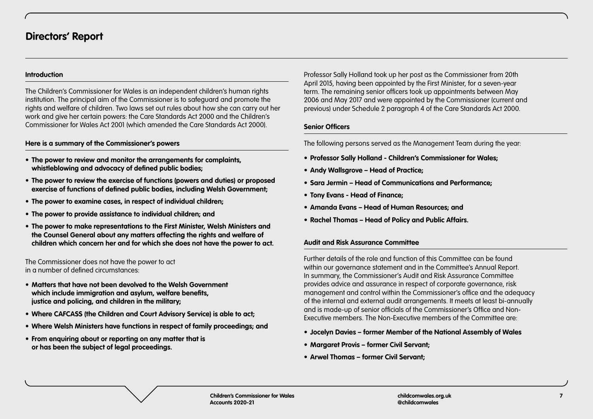# <span id="page-6-0"></span>**Introduction**

The Children's Commissioner for Wales is an independent children's human rights institution. The principal aim of the Commissioner is to safeguard and promote the rights and welfare of children. Two laws set out rules about how she can carry out her work and give her certain powers: the Care Standards Act 2000 and the Children's Commissioner for Wales Act 2001 (which amended the Care Standards Act 2000).

# **Here is a summary of the Commissioner's powers**

- **• The power to review and monitor the arrangements for complaints, whistleblowing and advocacy of defined public bodies;**
- **• The power to review the exercise of functions (powers and duties) or proposed exercise of functions of defined public bodies, including Welsh Government;**
- **• The power to examine cases, in respect of individual children;**
- **• The power to provide assistance to individual children; and**
- **• The power to make representations to the First Minister, Welsh Ministers and the Counsel General about any matters affecting the rights and welfare of children which concern her and for which she does not have the power to act.**

The Commissioner does not have the power to act in a number of defined circumstances:

- **• Matters that have not been devolved to the Welsh Government which include immigration and asylum, welfare benefits, justice and policing, and children in the military;**
- **• Where CAFCASS (the Children and Court Advisory Service) is able to act;**
- **• Where Welsh Ministers have functions in respect of family proceedings; and**
- **• From enquiring about or reporting on any matter that is or has been the subject of legal proceedings.**

Professor Sally Holland took up her post as the Commissioner from 20th April 2015, having been appointed by the First Minister, for a seven-year term. The remaining senior officers took up appointments between May 2006 and May 2017 and were appointed by the Commissioner (current and previous) under Schedule 2 paragraph 4 of the Care Standards Act 2000.

# **Senior Officers**

The following persons served as the Management Team during the year:

- **• Professor Sally Holland Children's Commissioner for Wales;**
- **• Andy Wallsgrove Head of Practice;**
- **• Sara Jermin Head of Communications and Performance;**
- **• Tony Evans Head of Finance;**
- **• Amanda Evans Head of Human Resources; and**
- **• Rachel Thomas Head of Policy and Public Affairs.**

# **Audit and Risk Assurance Committee**

Further details of the role and function of this Committee can be found within our governance statement and in the Committee's Annual Report. In summary, the Commissioner's Audit and Risk Assurance Committee provides advice and assurance in respect of corporate governance, risk management and control within the Commissioner's office and the adequacy of the internal and external audit arrangements. It meets at least bi-annually and is made-up of senior officials of the Commissioner's Office and Non-Executive members. The Non-Executive members of the Committee are:

- **• Jocelyn Davies former Member of the National Assembly of Wales**
- **• Margaret Provis former Civil Servant;**
- **• Arwel Thomas former Civil Servant;**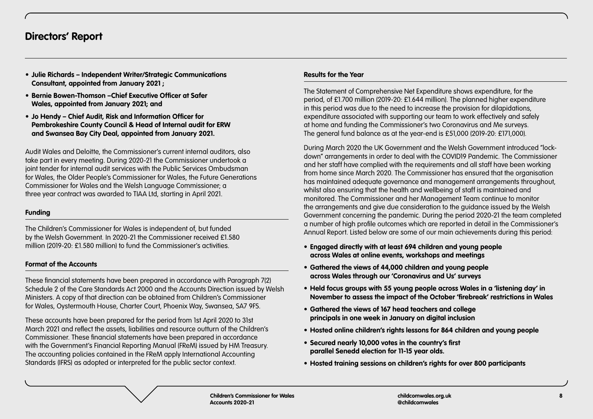# **Directors' Report**

- **• Julie Richards Independent Writer/Strategic Communications Consultant, appointed from January 2021 ;**
- **• Bernie Bowen-Thomson –Chief Executive Officer at Safer Wales, appointed from January 2021; and**
- **• Jo Hendy Chief Audit, Risk and Information Officer for Pembrokeshire County Council & Head of Internal audit for ERW and Swansea Bay City Deal, appointed from January 2021.**

Audit Wales and Deloitte, the Commissioner's current internal auditors, also take part in every meeting. During 2020-21 the Commissioner undertook a joint tender for internal audit services with the Public Services Ombudsman for Wales, the Older People's Commissioner for Wales, the Future Generations Commissioner for Wales and the Welsh Language Commissioner; a three year contract was awarded to TIAA Ltd, starting in April 2021.

# **Funding**

The Children's Commissioner for Wales is independent of, but funded by the Welsh Government. In 2020-21 the Commissioner received £1.580 million (2019-20: £1.580 million) to fund the Commissioner's activities.

# **Format of the Accounts**

These financial statements have been prepared in accordance with Paragraph 7(2) Schedule 2 of the Care Standards Act 2000 and the Accounts Direction issued by Welsh Ministers. A copy of that direction can be obtained from Children's Commissioner for Wales, Oystermouth House, Charter Court, Phoenix Way, Swansea, SA7 9FS.

These accounts have been prepared for the period from 1st April 2020 to 31st March 2021 and reflect the assets, liabilities and resource outturn of the Children's Commissioner. These financial statements have been prepared in accordance with the Government's Financial Reporting Manual (FReM) issued by HM Treasury. The accounting policies contained in the FReM apply International Accounting Standards (IFRS) as adopted or interpreted for the public sector context.

#### **Results for the Year**

The Statement of Comprehensive Net Expenditure shows expenditure, for the period, of £1.700 million (2019-20: £1.644 million). The planned higher expenditure in this period was due to the need to increase the provision for dilapidations, expenditure associated with supporting our team to work effectively and safely at home and funding the Commissioner's two Coronavirus and Me surveys. The general fund balance as at the year-end is £51,000 (2019-20: £171,000).

During March 2020 the UK Government and the Welsh Government introduced "lockdown" arrangements in order to deal with the COVID19 Pandemic. The Commissioner and her staff have complied with the requirements and all staff have been working from home since March 2020. The Commissioner has ensured that the organisation has maintained adequate governance and management arrangements throughout, whilst also ensuring that the health and wellbeing of staff is maintained and monitored. The Commissioner and her Management Team continue to monitor the arrangements and give due consideration to the guidance issued by the Welsh Government concerning the pandemic. During the period 2020-21 the team completed a number of high profile outcomes which are reported in detail in the Commissioner's Annual Report. Listed below are some of our main achievements during this period:

- **• Engaged directly with at least 694 children and young people across Wales at online events, workshops and meetings**
- **• Gathered the views of 44,000 children and young people across Wales through our 'Coronavirus and Us' surveys**
- **• Held focus groups with 55 young people across Wales in a 'listening day' in November to assess the impact of the October 'firebreak' restrictions in Wales**
- **• Gathered the views of 167 head teachers and college principals in one week in January on digital inclusion**
- **• Hosted online children's rights lessons for 864 children and young people**
- **• Secured nearly 10,000 votes in the country's first parallel Senedd election for 11-15 year olds.**
- **• Hosted training sessions on children's rights for over 800 participants**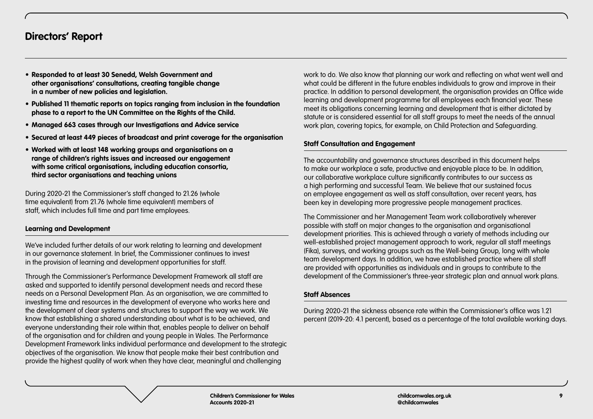# **Directors' Report**

- **• Responded to at least 30 Senedd, Welsh Government and other organisations' consultations, creating tangible change in a number of new policies and legislation.**
- **• Published 11 thematic reports on topics ranging from inclusion in the foundation phase to a report to the UN Committee on the Rights of the Child.**
- **• Managed 663 cases through our Investigations and Advice service**
- **• Secured at least 449 pieces of broadcast and print coverage for the organisation**
- **• Worked with at least 148 working groups and organisations on a range of children's rights issues and increased our engagement with some critical organisations, including education consortia, third sector organisations and teaching unions**

During 2020-21 the Commissioner's staff changed to 21.26 (whole time equivalent) from 21.76 (whole time equivalent) members of staff, which includes full time and part time employees.

# **Learning and Development**

We've included further details of our work relating to learning and development in our governance statement. In brief, the Commissioner continues to invest in the provision of learning and development opportunities for staff.

Through the Commissioner's Performance Development Framework all staff are asked and supported to identify personal development needs and record these needs on a Personal Development Plan. As an organisation, we are committed to investing time and resources in the development of everyone who works here and the development of clear systems and structures to support the way we work. We know that establishing a shared understanding about what is to be achieved, and everyone understanding their role within that, enables people to deliver on behalf of the organisation and for children and young people in Wales. The Performance Development Framework links individual performance and development to the strategic objectives of the organisation. We know that people make their best contribution and provide the highest quality of work when they have clear, meaningful and challenging

work to do. We also know that planning our work and reflecting on what went well and what could be different in the future enables individuals to grow and improve in their practice. In addition to personal development, the organisation provides an Office wide learning and development programme for all employees each financial year. These meet its obligations concerning learning and development that is either dictated by statute or is considered essential for all staff groups to meet the needs of the annual work plan, covering topics, for example, on Child Protection and Safeguarding.

## **Staff Consultation and Engagement**

The accountability and governance structures described in this document helps to make our workplace a safe, productive and enjoyable place to be. In addition, our collaborative workplace culture significantly contributes to our success as a high performing and successful Team. We believe that our sustained focus on employee engagement as well as staff consultation, over recent years, has been key in developing more progressive people management practices.

The Commissioner and her Management Team work collaboratively wherever possible with staff on major changes to the organisation and organisational development priorities. This is achieved through a variety of methods including our well-established project management approach to work, regular all staff meetings (Fika), surveys, and working groups such as the Well-being Group, long with whole team development days. In addition, we have established practice where all staff are provided with opportunities as individuals and in groups to contribute to the development of the Commissioner's three-year strategic plan and annual work plans.

## **Staff Absences**

During 2020-21 the sickness absence rate within the Commissioner's office was 1.21 percent (2019-20: 4.1 percent), based as a percentage of the total available working days.

**Children's Commissioner for Wales Accounts 2020-21**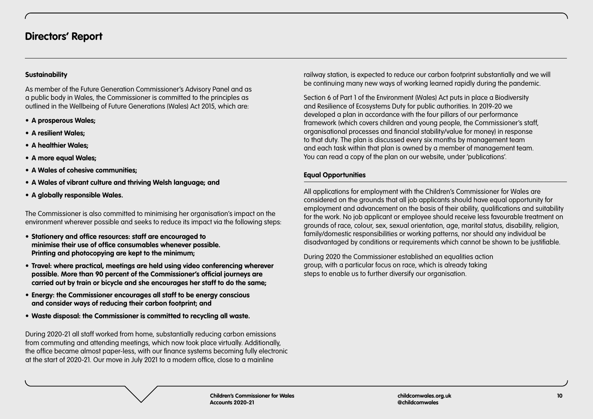# **Sustainability**

As member of the Future Generation Commissioner's Advisory Panel and as a public body in Wales, the Commissioner is committed to the principles as outlined in the Wellbeing of Future Generations (Wales) Act 2015, which are:

- **• A prosperous Wales;**
- **• A resilient Wales;**
- **• A healthier Wales;**
- **• A more equal Wales;**
- **• A Wales of cohesive communities;**
- **• A Wales of vibrant culture and thriving Welsh language; and**
- **• A globally responsible Wales.**

The Commissioner is also committed to minimising her organisation's impact on the environment wherever possible and seeks to reduce its impact via the following steps:

- **• Stationery and office resources: staff are encouraged to minimise their use of office consumables whenever possible. Printing and photocopying are kept to the minimum;**
- **• Travel: where practical, meetings are held using video conferencing wherever possible. More than 90 percent of the Commissioner's official journeys are carried out by train or bicycle and she encourages her staff to do the same;**
- **• Energy: the Commissioner encourages all staff to be energy conscious and consider ways of reducing their carbon footprint; and**
- **• Waste disposal: the Commissioner is committed to recycling all waste.**

During 2020-21 all staff worked from home, substantially reducing carbon emissions from commuting and attending meetings, which now took place virtually. Additionally, the office became almost paper-less, with our finance systems becoming fully electronic at the start of 2020-21. Our move in July 2021 to a modern office, close to a mainline

railway station, is expected to reduce our carbon footprint substantially and we will be continuing many new ways of working learned rapidly during the pandemic.

Section 6 of Part 1 of the Environment (Wales) Act puts in place a Biodiversity and Resilience of Ecosystems Duty for public authorities. In 2019-20 we developed a plan in accordance with the four pillars of our performance framework (which covers children and young people, the Commissioner's staff, organisational processes and financial stability/value for money) in response to that duty. The plan is discussed every six months by management team and each task within that plan is owned by a member of management team. You can read a copy of the plan on our website, under 'publications'.

# **Equal Opportunities**

All applications for employment with the Children's Commissioner for Wales are considered on the grounds that all job applicants should have equal opportunity for employment and advancement on the basis of their ability, qualifications and suitability for the work. No job applicant or employee should receive less favourable treatment on grounds of race, colour, sex, sexual orientation, age, marital status, disability, religion, family/domestic responsibilities or working patterns, nor should any individual be disadvantaged by conditions or requirements which cannot be shown to be justifiable.

During 2020 the Commissioner established an equalities action group, with a particular focus on race, which is already taking steps to enable us to further diversify our organisation.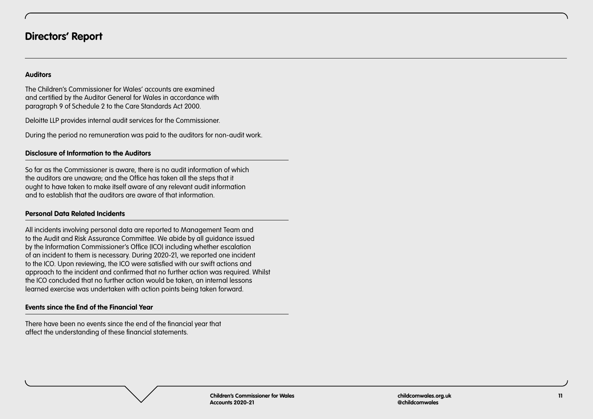## **Auditors**

The Children's Commissioner for Wales' accounts are examined and certified by the Auditor General for Wales in accordance with paragraph 9 of Schedule 2 to the Care Standards Act 2000.

Deloitte LLP provides internal audit services for the Commissioner.

During the period no remuneration was paid to the auditors for non-audit work.

## **Disclosure of Information to the Auditors**

So far as the Commissioner is aware, there is no audit information of which the auditors are unaware; and the Office has taken all the steps that it ought to have taken to make itself aware of any relevant audit information and to establish that the auditors are aware of that information.

# **Personal Data Related Incidents**

All incidents involving personal data are reported to Management Team and to the Audit and Risk Assurance Committee. We abide by all guidance issued by the Information Commissioner's Office (ICO) including whether escalation of an incident to them is necessary. During 2020-21, we reported one incident to the ICO. Upon reviewing, the ICO were satisfied with our swift actions and approach to the incident and confirmed that no further action was required. Whilst the ICO concluded that no further action would be taken, an internal lessons learned exercise was undertaken with action points being taken forward.

# **Events since the End of the Financial Year**

There have been no events since the end of the financial year that affect the understanding of these financial statements.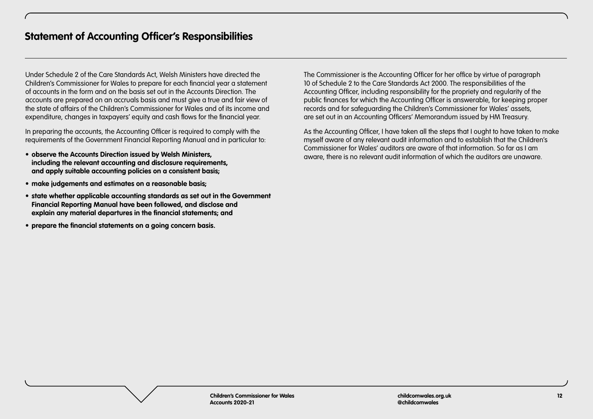<span id="page-11-0"></span>Under Schedule 2 of the Care Standards Act, Welsh Ministers have directed the Children's Commissioner for Wales to prepare for each financial year a statement of accounts in the form and on the basis set out in the Accounts Direction. The accounts are prepared on an accruals basis and must give a true and fair view of the state of affairs of the Children's Commissioner for Wales and of its income and expenditure, changes in taxpayers' equity and cash flows for the financial year.

In preparing the accounts, the Accounting Officer is required to comply with the requirements of the Government Financial Reporting Manual and in particular to:

- **• observe the Accounts Direction issued by Welsh Ministers, including the relevant accounting and disclosure requirements, and apply suitable accounting policies on a consistent basis;**
- **• make judgements and estimates on a reasonable basis;**
- **• state whether applicable accounting standards as set out in the Government Financial Reporting Manual have been followed, and disclose and explain any material departures in the financial statements; and**
- **• prepare the financial statements on a going concern basis.**

The Commissioner is the Accounting Officer for her office by virtue of paragraph 10 of Schedule 2 to the Care Standards Act 2000. The responsibilities of the Accounting Officer, including responsibility for the propriety and regularity of the public finances for which the Accounting Officer is answerable, for keeping proper records and for safeguarding the Children's Commissioner for Wales' assets, are set out in an Accounting Officers' Memorandum issued by HM Treasury.

As the Accounting Officer, I have taken all the steps that I ought to have taken to make myself aware of any relevant audit information and to establish that the Children's Commissioner for Wales' auditors are aware of that information. So far as I am aware, there is no relevant audit information of which the auditors are unaware.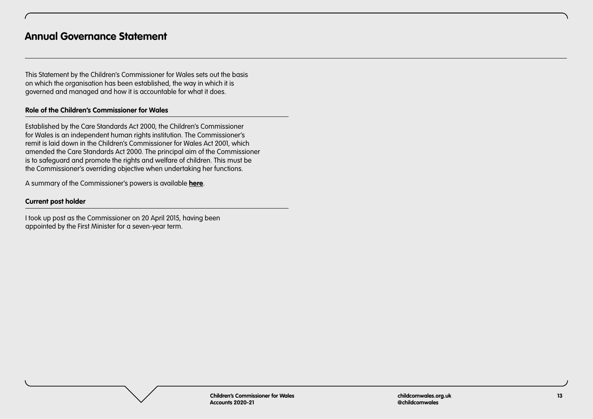<span id="page-12-0"></span>This Statement by the Children's Commissioner for Wales sets out the basis on which the organisation has been established, the way in which it is governed and managed and how it is accountable for what it does.

## **Role of the Children's Commissioner for Wales**

Established by the Care Standards Act 2000, the Children's Commissioner for Wales is an independent human rights institution. The Commissioner's remit is laid down in the Children's Commissioner for Wales Act 2001, which amended the Care Standards Act 2000. The principal aim of the Commissioner is to safeguard and promote the rights and welfare of children. This must be the Commissioner's overriding objective when undertaking her functions.

A summary of the Commissioner's powers is available **[here](https://www.childcomwales.org.uk/wp-content/uploads/2017/10/CCfWPowersPaper_Final_E.pdf)**.

## **Current post holder**

I took up post as the Commissioner on 20 April 2015, having been appointed by the First Minister for a seven-year term.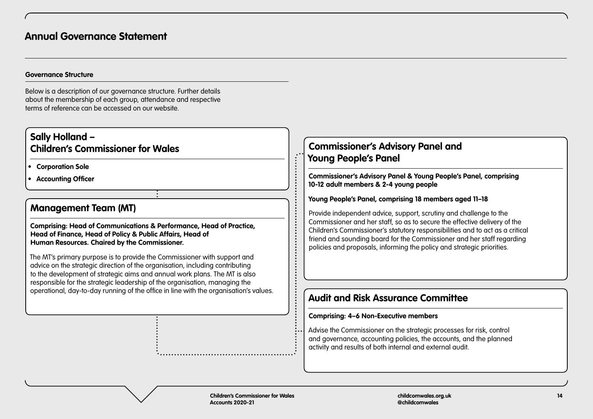#### **Governance Structure**

Below is a description of our governance structure. Further details about the membership of each group, attendance and respective terms of reference can be accessed on our website.

# **Sally Holland – Children's Commissioner for Wales**

**• Corporation Sole**

**• Accounting Officer**

# **Management Team (MT)**

**Comprising: Head of Communications & Performance, Head of Practice, Head of Finance, Head of Policy & Public Affairs, Head of Human Resources. Chaired by the Commissioner.**

The MT's primary purpose is to provide the Commissioner with support and advice on the strategic direction of the organisation, including contributing to the development of strategic aims and annual work plans. The MT is also responsible for the strategic leadership of the organisation, managing the operational, day-to-day running of the office in line with the organisation's values.

# **Commissioner's Advisory Panel and Young People's Panel**

**Commissioner's Advisory Panel & Young People's Panel, comprising 10-12 adult members & 2-4 young people**

# **Young People's Panel, comprising 18 members aged 11–18**

Provide independent advice, support, scrutiny and challenge to the Commissioner and her staff, so as to secure the effective delivery of the Children's Commissioner's statutory responsibilities and to act as a critical friend and sounding board for the Commissioner and her staff regarding policies and proposals, informing the policy and strategic priorities.

# **Audit and Risk Assurance Committee**

#### **Comprising: 4–6 Non-Executive members**

Advise the Commissioner on the strategic processes for risk, control and governance, accounting policies, the accounts, and the planned activity and results of both internal and external audit.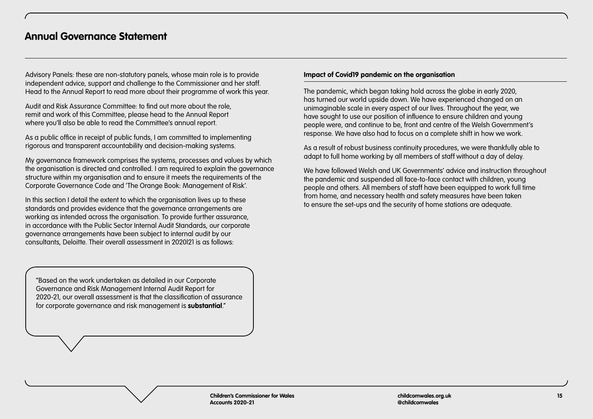Advisory Panels: these are non-statutory panels, whose main role is to provide independent advice, support and challenge to the Commissioner and her staff. Head to the Annual Report to read more about their programme of work this year.

Audit and Risk Assurance Committee: to find out more about the role, remit and work of this Committee, please head to the Annual Report where you'll also be able to read the Committee's annual report.

As a public office in receipt of public funds, I am committed to implementing rigorous and transparent accountability and decision-making systems.

My governance framework comprises the systems, processes and values by which the organisation is directed and controlled. I am required to explain the governance structure within my organisation and to ensure it meets the requirements of the Corporate Governance Code and 'The Orange Book: Management of Risk'.

In this section I detail the extent to which the organisation lives up to these standards and provides evidence that the governance arrangements are working as intended across the organisation. To provide further assurance, in accordance with the Public Sector Internal Audit Standards, our corporate governance arrangements have been subject to internal audit by our consultants, Deloitte. Their overall assessment in 2020|21 is as follows:

"Based on the work undertaken as detailed in our Corporate Governance and Risk Management Internal Audit Report for 2020-21, our overall assessment is that the classification of assurance for corporate governance and risk management is **substantial**."

#### **Impact of Covid19 pandemic on the organisation**

The pandemic, which began taking hold across the globe in early 2020, has turned our world upside down. We have experienced changed on an unimaginable scale in every aspect of our lives. Throughout the year, we have sought to use our position of influence to ensure children and young people were, and continue to be, front and centre of the Welsh Government's response. We have also had to focus on a complete shift in how we work.

As a result of robust business continuity procedures, we were thankfully able to adapt to full home working by all members of staff without a day of delay.

We have followed Welsh and UK Governments' advice and instruction throughout the pandemic and suspended all face-to-face contact with children, young people and others. All members of staff have been equipped to work full time from home, and necessary health and safety measures have been taken to ensure the set-ups and the security of home stations are adequate.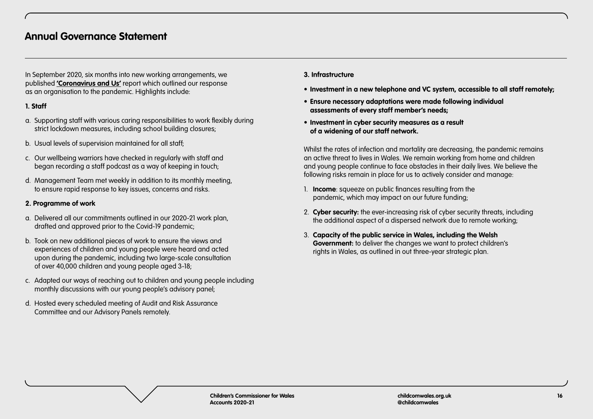In September 2020, six months into new working arrangements, we published **['Coronavirus and Us'](https://www.childcomwales.org.uk/publication/coronavirus-and-us/)** report which outlined our response as an organisation to the pandemic. Highlights include:

# **1. Staff**

- a. Supporting staff with various caring responsibilities to work flexibly during strict lockdown measures, including school building closures;
- b. Usual levels of supervision maintained for all staff;
- c. Our wellbeing warriors have checked in regularly with staff and began recording a staff podcast as a way of keeping in touch;
- d. Management Team met weekly in addition to its monthly meeting, to ensure rapid response to key issues, concerns and risks.

# **2. Programme of work**

- a. Delivered all our commitments outlined in our 2020-21 work plan, drafted and approved prior to the Covid-19 pandemic;
- b. Took on new additional pieces of work to ensure the views and experiences of children and young people were heard and acted upon during the pandemic, including two large-scale consultation of over 40,000 children and young people aged 3-18;
- c. Adapted our ways of reaching out to children and young people including monthly discussions with our young people's advisory panel;
- d. Hosted every scheduled meeting of Audit and Risk Assurance Committee and our Advisory Panels remotely.

## **3. Infrastructure**

- **• Investment in a new telephone and VC system, accessible to all staff remotely;**
- **• Ensure necessary adaptations were made following individual assessments of every staff member's needs;**
- **• Investment in cyber security measures as a result of a widening of our staff network.**

Whilst the rates of infection and mortality are decreasing, the pandemic remains an active threat to lives in Wales. We remain working from home and children and young people continue to face obstacles in their daily lives. We believe the following risks remain in place for us to actively consider and manage:

- 1. **Income**: squeeze on public finances resulting from the pandemic, which may impact on our future funding;
- 2. **Cyber security:** the ever-increasing risk of cyber security threats, including the additional aspect of a dispersed network due to remote working;
- 3. **Capacity of the public service in Wales, including the Welsh Government:** to deliver the changes we want to protect children's rights in Wales, as outlined in out three-year strategic plan.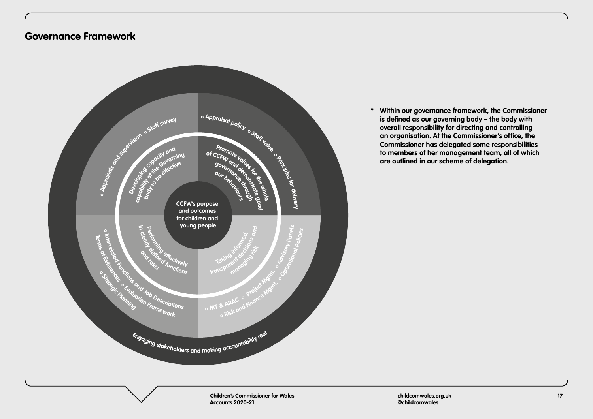<span id="page-16-0"></span>

**\* Within our governance framework, the Commissioner is defined as our governing body – the body with overall responsibility for directing and controlling an organisation. At the Commissioner's office, the Commissioner has delegated some responsibilities to members of her management team, all of which are outlined in our scheme of delegation.**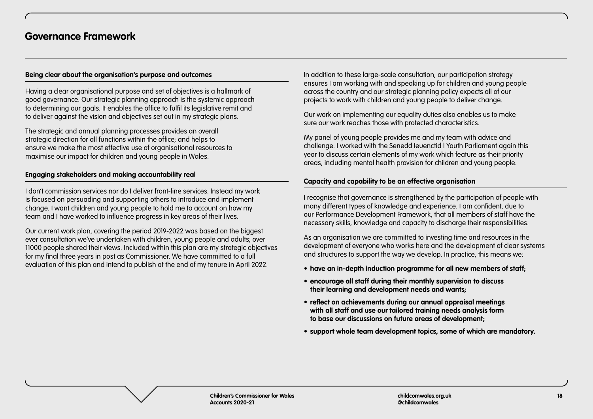#### **Being clear about the organisation's purpose and outcomes**

Having a clear organisational purpose and set of objectives is a hallmark of good governance. Our strategic planning approach is the systemic approach to determining our goals. It enables the office to fulfil its legislative remit and to deliver against the vision and objectives set out in my strategic plans.

The strategic and annual planning processes provides an overall strategic direction for all functions within the office; and helps to ensure we make the most effective use of organisational resources to maximise our impact for children and young people in Wales.

## **Engaging stakeholders and making accountability real**

I don't commission services nor do I deliver front-line services. Instead my work is focused on persuading and supporting others to introduce and implement change. I want children and young people to hold me to account on how my team and I have worked to influence progress in key areas of their lives.

Our current work plan, covering the period 2019-2022 was based on the biggest ever consultation we've undertaken with children, young people and adults; over 11000 people shared their views. Included within this plan are my strategic objectives for my final three years in post as Commissioner. We have committed to a full evaluation of this plan and intend to publish at the end of my tenure in April 2022.

In addition to these large-scale consultation, our participation strategy ensures I am working with and speaking up for children and young people across the country and our strategic planning policy expects all of our projects to work with children and young people to deliver change.

Our work on implementing our equality duties also enables us to make sure our work reaches those with protected characteristics.

My panel of young people provides me and my team with advice and challenge. I worked with the Senedd Ieuenctid | Youth Parliament again this year to discuss certain elements of my work which feature as their priority areas, including mental health provision for children and young people.

# **Capacity and capability to be an effective organisation**

I recognise that governance is strengthened by the participation of people with many different types of knowledge and experience. I am confident, due to our Performance Development Framework, that all members of staff have the necessary skills, knowledge and capacity to discharge their responsibilities.

As an organisation we are committed to investing time and resources in the development of everyone who works here and the development of clear systems and structures to support the way we develop. In practice, this means we:

- **• have an in-depth induction programme for all new members of staff;**
- **• encourage all staff during their monthly supervision to discuss their learning and development needs and wants;**
- **• reflect on achievements during our annual appraisal meetings with all staff and use our tailored training needs analysis form to base our discussions on future areas of development;**
- **• support whole team development topics, some of which are mandatory.**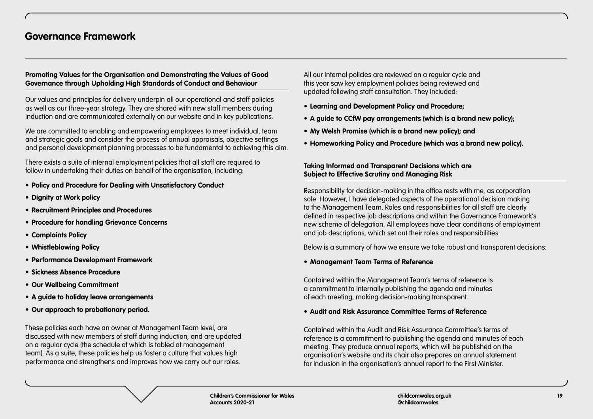# **Promoting Values for the Organisation and Demonstrating the Values of Good Governance through Upholding High Standards of Conduct and Behaviour**

Our values and principles for delivery underpin all our operational and staff policies as well as our three-year strategy. They are shared with new staff members during induction and are communicated externally on our website and in key publications.

We are committed to enabling and empowering employees to meet individual, team and strategic goals and consider the process of annual appraisals, objective settings and personal development planning processes to be fundamental to achieving this aim.

There exists a suite of internal employment policies that all staff are required to follow in undertaking their duties on behalf of the organisation, including:

- **• Policy and Procedure for Dealing with Unsatisfactory Conduct**
- **• Dignity at Work policy**
- **• Recruitment Principles and Procedures**
- **• Procedure for handling Grievance Concerns**
- **• Complaints Policy**
- **• Whistleblowing Policy**
- **• Performance Development Framework**
- **• Sickness Absence Procedure**
- **• Our Wellbeing Commitment**
- **• A guide to holiday leave arrangements**
- **• Our approach to probationary period.**

These policies each have an owner at Management Team level, are discussed with new members of staff during induction, and are updated on a regular cycle (the schedule of which is tabled at management team). As a suite, these policies help us foster a culture that values high performance and strengthens and improves how we carry out our roles.

All our internal policies are reviewed on a regular cycle and this year saw key employment policies being reviewed and updated following staff consultation. They included:

- **• Learning and Development Policy and Procedure;**
- **• A guide to CCfW pay arrangements (which is a brand new policy);**
- **• My Welsh Promise (which is a brand new policy); and**
- **• Homeworking Policy and Procedure (which was a brand new policy).**

## **Taking Informed and Transparent Decisions which are Subject to Effective Scrutiny and Managing Risk**

Responsibility for decision-making in the office rests with me, as corporation sole. However, I have delegated aspects of the operational decision making to the Management Team. Roles and responsibilities for all staff are clearly defined in respective job descriptions and within the Governance Framework's new scheme of delegation. All employees have clear conditions of employment and job descriptions, which set out their roles and responsibilities.

Below is a summary of how we ensure we take robust and transparent decisions:

# **• Management Team Terms of Reference**

Contained within the Management Team's terms of reference is a commitment to internally publishing the agenda and minutes of each meeting, making decision-making transparent.

# **• Audit and Risk Assurance Committee Terms of Reference**

Contained within the Audit and Risk Assurance Committee's terms of reference is a commitment to publishing the agenda and minutes of each meeting. They produce annual reports, which will be published on the organisation's website and its chair also prepares an annual statement for inclusion in the organisation's annual report to the First Minister.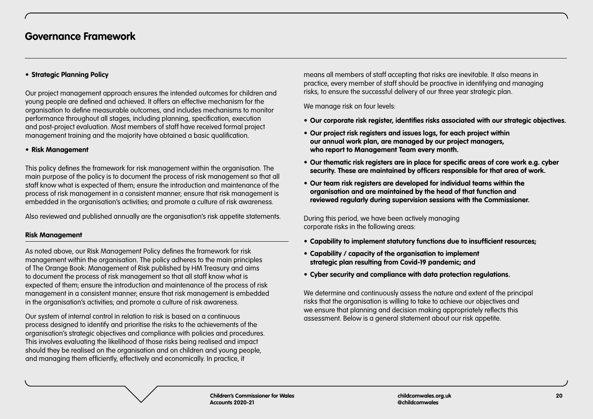# **• Strategic Planning Policy**

Our project management approach ensures the intended outcomes for children and young people are defined and achieved. It offers an effective mechanism for the organisation to define measurable outcomes, and includes mechanisms to monitor performance throughout all stages, including planning, specification, execution and post-project evaluation. Most members of staff have received formal project management training and the majority have obtained a basic qualification.

# **• Risk Management**

This policy defines the framework for risk management within the organisation. The main purpose of the policy is to document the process of risk management so that all staff know what is expected of them; ensure the introduction and maintenance of the process of risk management in a consistent manner; ensure that risk management is embedded in the organisation's activities; and promote a culture of risk awareness.

Also reviewed and published annually are the organisation's risk appetite statements.

# **Risk Management**

As noted above, our Risk Management Policy defines the framework for risk management within the organisation. The policy adheres to the main principles of The Orange Book: Management of Risk published by HM Treasury and aims to document the process of risk management so that all staff know what is expected of them; ensure the introduction and maintenance of the process of risk management in a consistent manner; ensure that risk management is embedded in the organisation's activities; and promote a culture of risk awareness.

Our system of internal control in relation to risk is based on a continuous process designed to identify and prioritise the risks to the achievements of the organisation's strategic objectives and compliance with policies and procedures. This involves evaluating the likelihood of those risks being realised and impact should they be realised on the organisation and on children and young people, and managing them efficiently, effectively and economically. In practice, it

means all members of staff accepting that risks are inevitable. It also means in practice, every member of staff should be proactive in identifying and managing risks, to ensure the successful delivery of our three year strategic plan.

We manage risk on four levels:

- **• Our corporate risk register, identifies risks associated with our strategic objectives.**
- **• Our project risk registers and issues logs, for each project within our annual work plan, are managed by our project managers, who report to Management Team every month.**
- **• Our thematic risk registers are in place for specific areas of core work e.g. cyber security. These are maintained by officers responsible for that area of work.**
- **• Our team risk registers are developed for individual teams within the organisation and are maintained by the head of that function and reviewed regularly during supervision sessions with the Commissioner.**

During this period, we have been actively managing corporate risks in the following areas:

- **• Capability to implement statutory functions due to insufficient resources;**
- **• Capability / capacity of the organisation to implement strategic plan resulting from Covid-19 pandemic; and**
- **• Cyber security and compliance with data protection regulations.**

We determine and continuously assess the nature and extent of the principal risks that the organisation is willing to take to achieve our objectives and we ensure that planning and decision making appropriately reflects this assessment. Below is a general statement about our risk appetite.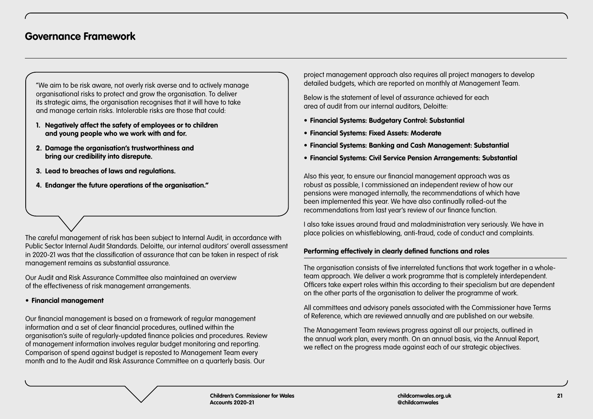"We aim to be risk aware, not overly risk averse and to actively manage organisational risks to protect and grow the organisation. To deliver its strategic aims, the organisation recognises that it will have to take and manage certain risks. Intolerable risks are those that could:

- **1. Negatively affect the safety of employees or to children and young people who we work with and for.**
- **2. Damage the organisation's trustworthiness and bring our credibility into disrepute.**
- **3. Lead to breaches of laws and regulations.**
- **4. Endanger the future operations of the organisation."**

The careful management of risk has been subject to Internal Audit, in accordance with Public Sector Internal Audit Standards. Deloitte, our internal auditors' overall assessment in 2020-21 was that the classification of assurance that can be taken in respect of risk management remains as substantial assurance.

Our Audit and Risk Assurance Committee also maintained an overview of the effectiveness of risk management arrangements.

#### **• Financial management**

Our financial management is based on a framework of regular management information and a set of clear financial procedures, outlined within the organisation's suite of regularly-updated finance policies and procedures. Review of management information involves regular budget monitoring and reporting. Comparison of spend against budget is reposted to Management Team every month and to the Audit and Risk Assurance Committee on a quarterly basis. Our

project management approach also requires all project managers to develop detailed budgets, which are reported on monthly at Management Team.

Below is the statement of level of assurance achieved for each area of audit from our internal auditors, Deloitte:

- **• Financial Systems: Budgetary Control: Substantial**
- **• Financial Systems: Fixed Assets: Moderate**
- **• Financial Systems: Banking and Cash Management: Substantial**
- **• Financial Systems: Civil Service Pension Arrangements: Substantial**

Also this year, to ensure our financial management approach was as robust as possible, I commissioned an independent review of how our pensions were managed internally, the recommendations of which have been implemented this year. We have also continually rolled-out the recommendations from last year's review of our finance function.

I also take issues around fraud and maladministration very seriously. We have in place policies on whistleblowing, anti-fraud, code of conduct and complaints.

# **Performing effectively in clearly defined functions and roles**

The organisation consists of five interrelated functions that work together in a wholeteam approach. We deliver a work programme that is completely interdependent. Officers take expert roles within this according to their specialism but are dependent on the other parts of the organisation to deliver the programme of work.

All committees and advisory panels associated with the Commissioner have Terms of Reference, which are reviewed annually and are published on our website.

The Management Team reviews progress against all our projects, outlined in the annual work plan, every month. On an annual basis, via the Annual Report, we reflect on the progress made against each of our strategic objectives.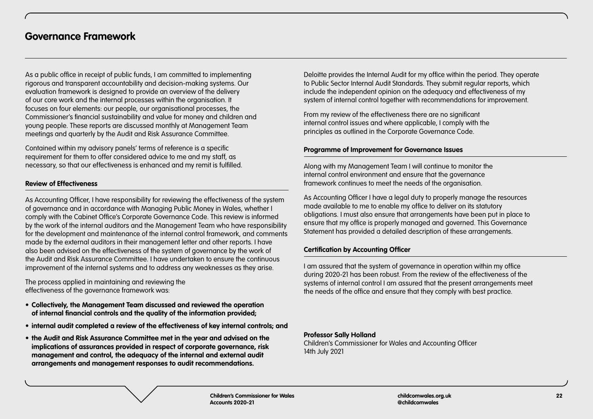As a public office in receipt of public funds, I am committed to implementing rigorous and transparent accountability and decision-making systems. Our evaluation framework is designed to provide an overview of the delivery of our core work and the internal processes within the organisation. It focuses on four elements: our people, our organisational processes, the Commissioner's financial sustainability and value for money and children and young people. These reports are discussed monthly at Management Team meetings and quarterly by the Audit and Risk Assurance Committee.

Contained within my advisory panels' terms of reference is a specific requirement for them to offer considered advice to me and my staff, as necessary, so that our effectiveness is enhanced and my remit is fulfilled.

# **Review of Effectiveness**

As Accounting Officer, I have responsibility for reviewing the effectiveness of the system of governance and in accordance with Managing Public Money in Wales, whether I comply with the Cabinet Office's Corporate Governance Code. This review is informed by the work of the internal auditors and the Management Team who have responsibility for the development and maintenance of the internal control framework, and comments made by the external auditors in their management letter and other reports. I have also been advised on the effectiveness of the system of governance by the work of the Audit and Risk Assurance Committee. I have undertaken to ensure the continuous improvement of the internal systems and to address any weaknesses as they arise.

The process applied in maintaining and reviewing the effectiveness of the governance framework was:

- **• Collectively, the Management Team discussed and reviewed the operation of internal financial controls and the quality of the information provided;**
- **• internal audit completed a review of the effectiveness of key internal controls; and**
- **• the Audit and Risk Assurance Committee met in the year and advised on the implications of assurances provided in respect of corporate governance, risk management and control, the adequacy of the internal and external audit arrangements and management responses to audit recommendations.**

Deloitte provides the Internal Audit for my office within the period. They operate to Public Sector Internal Audit Standards. They submit regular reports, which include the independent opinion on the adequacy and effectiveness of my system of internal control together with recommendations for improvement.

From my review of the effectiveness there are no significant internal control issues and where applicable, I comply with the principles as outlined in the Corporate Governance Code.

# **Programme of Improvement for Governance Issues**

Along with my Management Team I will continue to monitor the internal control environment and ensure that the governance framework continues to meet the needs of the organisation.

As Accounting Officer I have a legal duty to properly manage the resources made available to me to enable my office to deliver on its statutory obligations. I must also ensure that arrangements have been put in place to ensure that my office is properly managed and governed. This Governance Statement has provided a detailed description of these arrangements.

# **Certification by Accounting Officer**

I am assured that the system of governance in operation within my office during 2020-21 has been robust. From the review of the effectiveness of the systems of internal control I am assured that the present arrangements meet the needs of the office and ensure that they comply with best practice.

#### **Professor Sally Holland**

Children's Commissioner for Wales and Accounting Officer 14th July 2021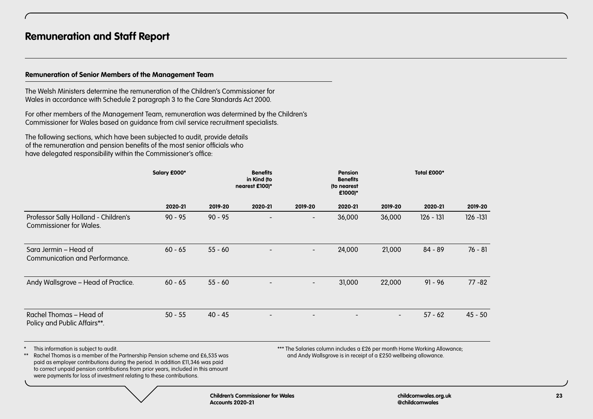# <span id="page-22-0"></span>**Remuneration of Senior Members of the Management Team**

The Welsh Ministers determine the remuneration of the Children's Commissioner for Wales in accordance with Schedule 2 paragraph 3 to the Care Standards Act 2000.

For other members of the Management Team, remuneration was determined by the Children's Commissioner for Wales based on guidance from civil service recruitment specialists.

The following sections, which have been subjected to audit, provide details of the remuneration and pension benefits of the most senior officials who have delegated responsibility within the Commissioner's office:

|                                                                                                                                                                                                                                                                                                                                                                                        | Salary £000* |                  | <b>Benefits</b><br>in Kind (to<br>nearest £100)* |                          | <b>Pension</b><br><b>Benefits</b><br>(to nearest<br>£1000)*      |         | Total £000*                                                              |             |
|----------------------------------------------------------------------------------------------------------------------------------------------------------------------------------------------------------------------------------------------------------------------------------------------------------------------------------------------------------------------------------------|--------------|------------------|--------------------------------------------------|--------------------------|------------------------------------------------------------------|---------|--------------------------------------------------------------------------|-------------|
|                                                                                                                                                                                                                                                                                                                                                                                        | 2020-21      | 2019-20          | 2020-21                                          | 2019-20                  | 2020-21                                                          | 2019-20 | 2020-21                                                                  | 2019-20     |
| Professor Sally Holland - Children's<br><b>Commissioner for Wales.</b>                                                                                                                                                                                                                                                                                                                 | $90 - 95$    | $90 - 95$        |                                                  |                          | 36,000                                                           | 36,000  | $126 - 131$                                                              | $126 - 131$ |
| Sara Jermin – Head of<br>Communication and Performance.                                                                                                                                                                                                                                                                                                                                | $60 - 65$    | $55 - 60$        |                                                  | $\overline{\phantom{a}}$ | 24,000                                                           | 21,000  | $84 - 89$                                                                | $76 - 81$   |
| Andy Wallsgrove - Head of Practice.                                                                                                                                                                                                                                                                                                                                                    | $60 - 65$    | $55 - 60$        |                                                  |                          | 31,000                                                           | 22,000  | $91 - 96$                                                                | $77 - 82$   |
| Rachel Thomas – Head of<br>Policy and Public Affairs**.                                                                                                                                                                                                                                                                                                                                | $50 - 55$    | $40 - 45$        |                                                  |                          |                                                                  |         | $57 - 62$                                                                | $45 - 50$   |
| This information is subject to audit.<br>$\ast$<br>Rachel Thomas is a member of the Partnership Pension scheme and £6,535 was<br>$***$<br>paid as employer contributions during the period. In addition £11,346 was paid<br>to correct unpaid pension contributions from prior years, included in this amount<br>were payments for loss of investment relating to these contributions. |              |                  |                                                  |                          | and Andy Wallsgrove is in receipt of a £250 wellbeing allowance. |         | *** The Salaries column includes a £26 per month Home Working Allowance; |             |
|                                                                                                                                                                                                                                                                                                                                                                                        |              | Accounts 2020-21 | <b>Children's Commissioner for Wales</b>         |                          |                                                                  |         | childcomwales.org.uk<br>@childcomwales                                   |             |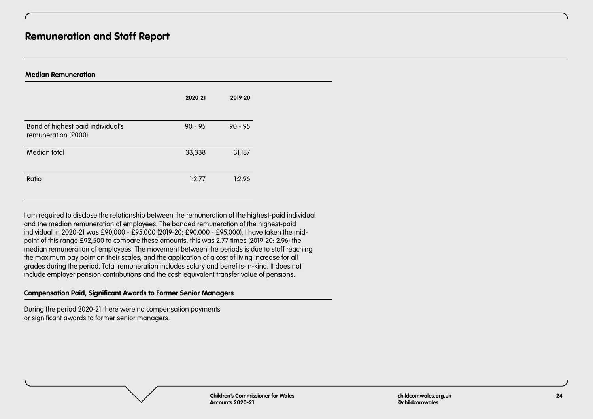| <b>Median Remuneration</b>                               |           |           |  |  |
|----------------------------------------------------------|-----------|-----------|--|--|
|                                                          | 2020-21   | 2019-20   |  |  |
| Band of highest paid individual's<br>remuneration (£000) | $90 - 95$ | $90 - 95$ |  |  |
| Median total                                             | 33,338    | 31,187    |  |  |
| Ratio                                                    | 1:2.77    | 1:2.96    |  |  |

I am required to disclose the relationship between the remuneration of the highest-paid individual and the median remuneration of employees. The banded remuneration of the highest-paid individual in 2020-21 was £90,000 - £95,000 (2019-20: £90,000 - £95,000). I have taken the midpoint of this range £92,500 to compare these amounts, this was 2.77 times (2019-20: 2.96) the median remuneration of employees. The movement between the periods is due to staff reaching the maximum pay point on their scales; and the application of a cost of living increase for all grades during the period. Total remuneration includes salary and benefits-in-kind. It does not include employer pension contributions and the cash equivalent transfer value of pensions.

#### **Compensation Paid, Significant Awards to Former Senior Managers**

During the period 2020-21 there were no compensation payments or significant awards to former senior managers.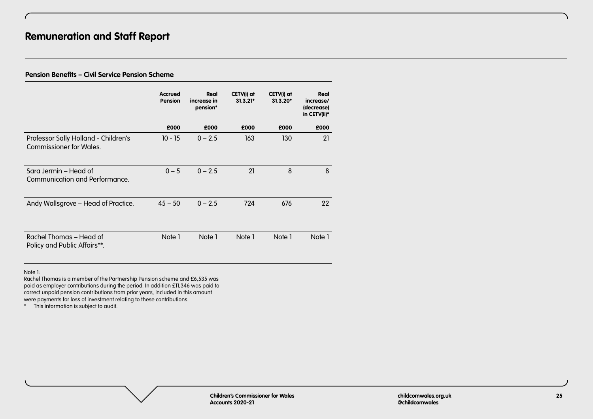# **Pension Benefits – Civil Service Pension Scheme**

|                                                                 | <b>Accrued</b><br>Pension | Real<br>increase in<br>pension* | CETV(i) at<br>$31.3.21*$ | CETV(i) at<br>$31.3.20*$ | Real<br>increase/<br>(decrease)<br>in CETV(ii)* |
|-----------------------------------------------------------------|---------------------------|---------------------------------|--------------------------|--------------------------|-------------------------------------------------|
|                                                                 | £000                      | £000                            | £000                     | £000                     | £000                                            |
| Professor Sally Holland - Children's<br>Commissioner for Wales. | $10 - 15$                 | $0 - 2.5$                       | 163                      | 130                      | 21                                              |
| Sara Jermin – Head of<br>Communication and Performance.         | $0 - 5$                   | $0 - 2.5$                       | 21                       | 8                        | 8                                               |
| Andy Wallsgrove - Head of Practice.                             | $45 - 50$                 | $0 - 2.5$                       | 724                      | 676                      | 22                                              |
| Rachel Thomas – Head of<br>Policy and Public Affairs**.         | Note 1                    | Note 1                          | Note 1                   | Note 1                   | Note 1                                          |

Note 1:

Rachel Thomas is a member of the Partnership Pension scheme and £6,535 was paid as employer contributions during the period. In addition £11,346 was paid to correct unpaid pension contributions from prior years, included in this amount were payments for loss of investment relating to these contributions.

\* This information is subject to audit.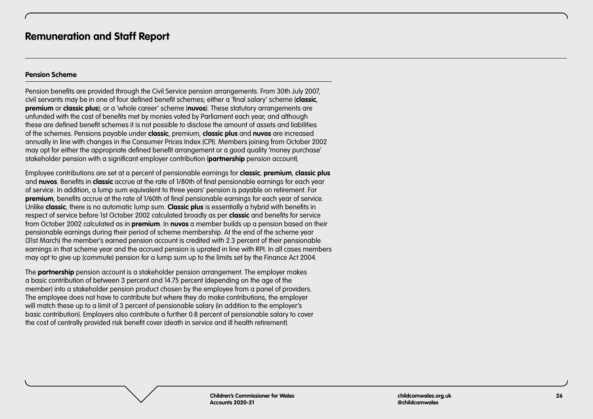#### **Pension Scheme**

Pension benefits are provided through the Civil Service pension arrangements. From 30th July 2007, civil servants may be in one of four defined benefit schemes; either a 'final salary' scheme (**classic**, **premium** or **classic plus**); or a 'whole career' scheme (**nuvos**). These statutory arrangements are unfunded with the cost of benefits met by monies voted by Parliament each year; and although these are defined benefit schemes it is not possible to disclose the amount of assets and liabilities of the schemes. Pensions payable under **classic**, premium, **classic plus** and **nuvos** are increased annually in line with changes in the Consumer Prices Index (CPI). Members joining from October 2002 may opt for either the appropriate defined benefit arrangement or a good quality 'money purchase' stakeholder pension with a significant employer contribution (**partnership** pension account).

Employee contributions are set at a percent of pensionable earnings for **classic**, **premium**, **classic plus**  and **nuvos**. Benefits in **classic** accrue at the rate of 1/80th of final pensionable earnings for each year of service. In addition, a lump sum equivalent to three years' pension is payable on retirement. For **premium**, benefits accrue at the rate of 1/60th of final pensionable earnings for each year of service. Unlike **classic**, there is no automatic lump sum. **Classic plus** is essentially a hybrid with benefits in respect of service before 1st October 2002 calculated broadly as per **classic** and benefits for service from October 2002 calculated as in **premium**. In **nuvos** a member builds up a pension based on their pensionable earnings during their period of scheme membership. At the end of the scheme year (31st March) the member's earned pension account is credited with 2.3 percent of their pensionable earnings in that scheme year and the accrued pension is uprated in line with RPI. In all cases members may opt to give up (commute) pension for a lump sum up to the limits set by the Finance Act 2004.

The **partnership** pension account is a stakeholder pension arrangement. The employer makes a basic contribution of between 3 percent and 14.75 percent (depending on the age of the member) into a stakeholder pension product chosen by the employee from a panel of providers. The employee does not have to contribute but where they do make contributions, the employer will match these up to a limit of 3 percent of pensionable salary (in addition to the employer's basic contribution). Employers also contribute a further 0.8 percent of pensionable salary to cover the cost of centrally provided risk benefit cover (death in service and ill health retirement).

> **Children's Commissioner for Wales Accounts 2020-21**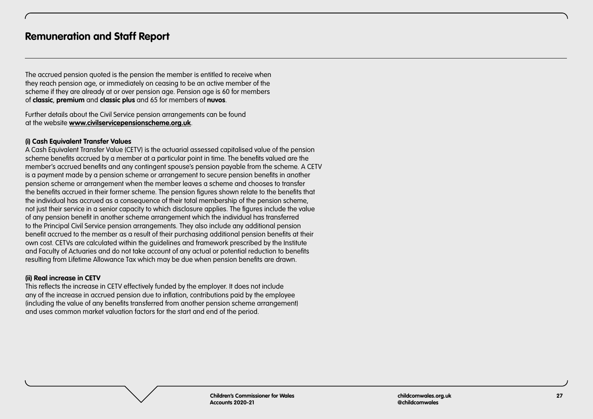The accrued pension quoted is the pension the member is entitled to receive when they reach pension age, or immediately on ceasing to be an active member of the scheme if they are already at or over pension age. Pension age is 60 for members of **classic**, **premium** and **classic plus** and 65 for members of **nuvos**.

Further details about the Civil Service pension arrangements can be found at the website **[www.civilservicepensionscheme.org.uk](https://www.civilservicepensionscheme.org.uk)**.

## **(i) Cash Equivalent Transfer Values**

A Cash Equivalent Transfer Value (CETV) is the actuarial assessed capitalised value of the pension scheme benefits accrued by a member at a particular point in time. The benefits valued are the member's accrued benefits and any contingent spouse's pension payable from the scheme. A CETV is a payment made by a pension scheme or arrangement to secure pension benefits in another pension scheme or arrangement when the member leaves a scheme and chooses to transfer the benefits accrued in their former scheme. The pension figures shown relate to the benefits that the individual has accrued as a consequence of their total membership of the pension scheme, not just their service in a senior capacity to which disclosure applies. The figures include the value of any pension benefit in another scheme arrangement which the individual has transferred to the Principal Civil Service pension arrangements. They also include any additional pension benefit accrued to the member as a result of their purchasing additional pension benefits at their own cost. CETVs are calculated within the guidelines and framework prescribed by the Institute and Faculty of Actuaries and do not take account of any actual or potential reduction to benefits resulting from Lifetime Allowance Tax which may be due when pension benefits are drawn.

# **(ii) Real increase in CETV**

This reflects the increase in CETV effectively funded by the employer. It does not include any of the increase in accrued pension due to inflation, contributions paid by the employee (including the value of any benefits transferred from another pension scheme arrangement) and uses common market valuation factors for the start and end of the period.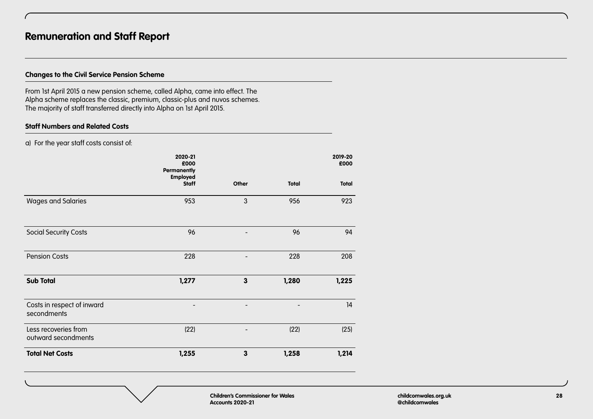# **Changes to the Civil Service Pension Scheme**

From 1st April 2015 a new pension scheme, called Alpha, came into effect. The Alpha scheme replaces the classic, premium, classic-plus and nuvos schemes. The majority of staff transferred directly into Alpha on 1st April 2015.

# **Staff Numbers and Related Costs**

a) For the year staff costs consist of:

|                                             | 2020-21<br>£000<br><b>Permanently</b> |                          |              | 2019-20<br>£000 |
|---------------------------------------------|---------------------------------------|--------------------------|--------------|-----------------|
|                                             | <b>Employed</b><br><b>Staff</b>       | Other                    | <b>Total</b> | <b>Total</b>    |
| <b>Wages and Salaries</b>                   | 953                                   | 3                        | 956          | 923             |
| <b>Social Security Costs</b>                | 96                                    | $\overline{\phantom{0}}$ | 96           | 94              |
| <b>Pension Costs</b>                        | 228                                   |                          | 228          | 208             |
| <b>Sub Total</b>                            | 1,277                                 | 3                        | 1,280        | 1,225           |
| Costs in respect of inward<br>secondments   |                                       |                          |              | 14              |
| Less recoveries from<br>outward secondments | (22)                                  |                          | (22)         | (25)            |
| <b>Total Net Costs</b>                      | 1,255                                 | 3                        | 1,258        | 1,214           |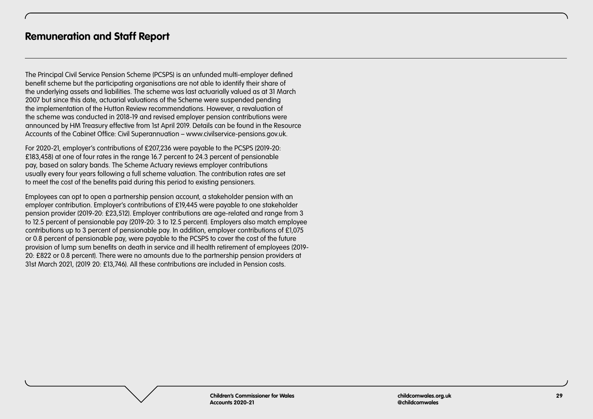The Principal Civil Service Pension Scheme (PCSPS) is an unfunded multi-employer defined benefit scheme but the participating organisations are not able to identify their share of the underlying assets and liabilities. The scheme was last actuarially valued as at 31 March 2007 but since this date, actuarial valuations of the Scheme were suspended pending the implementation of the Hutton Review recommendations. However, a revaluation of the scheme was conducted in 2018-19 and revised employer pension contributions were announced by HM Treasury effective from 1st April 2019. Details can be found in the Resource Accounts of the Cabinet Office: Civil Superannuation – www.civilservice-pensions.gov.uk.

For 2020-21, employer's contributions of £207,236 were payable to the PCSPS (2019-20: £183,458) at one of four rates in the range 16.7 percent to 24.3 percent of pensionable pay, based on salary bands. The Scheme Actuary reviews employer contributions usually every four years following a full scheme valuation. The contribution rates are set to meet the cost of the benefits paid during this period to existing pensioners.

Employees can opt to open a partnership pension account, a stakeholder pension with an employer contribution. Employer's contributions of £19,445 were payable to one stakeholder pension provider (2019-20: £23,512). Employer contributions are age-related and range from 3 to 12.5 percent of pensionable pay (2019-20: 3 to 12.5 percent). Employers also match employee contributions up to 3 percent of pensionable pay. In addition, employer contributions of £1,075 or 0.8 percent of pensionable pay, were payable to the PCSPS to cover the cost of the future provision of lump sum benefits on death in service and ill health retirement of employees (2019- 20: £822 or 0.8 percent). There were no amounts due to the partnership pension providers at 31st March 2021, (2019 20: £13,746). All these contributions are included in Pension costs.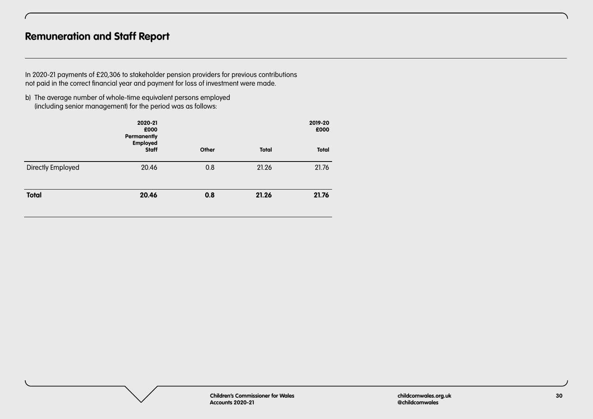In 2020-21 payments of £20,306 to stakeholder pension providers for previous contributions not paid in the correct financial year and payment for loss of investment were made.

b) The average number of whole-time equivalent persons employed (including senior management) for the period was as follows:

|                   | 2020-21<br>£000<br><b>Permanently</b><br><b>Employed</b> |       |              | 2019-20<br>£000 |
|-------------------|----------------------------------------------------------|-------|--------------|-----------------|
|                   | <b>Staff</b>                                             | Other | <b>Total</b> | <b>Total</b>    |
| Directly Employed | 20.46                                                    | 0.8   | 21.26        | 21.76           |
| <b>Total</b>      | 20.46                                                    | 0.8   | 21.26        | 21.76           |

**Children's Commissioner for Wales Accounts 2020-21**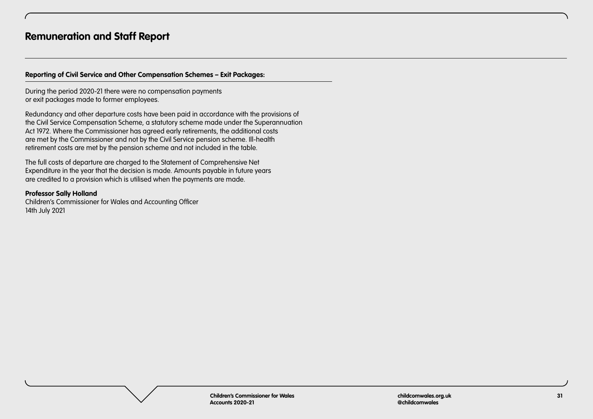# **Reporting of Civil Service and Other Compensation Schemes – Exit Packages:**

During the period 2020-21 there were no compensation payments or exit packages made to former employees.

Redundancy and other departure costs have been paid in accordance with the provisions of the Civil Service Compensation Scheme, a statutory scheme made under the Superannuation Act 1972. Where the Commissioner has agreed early retirements, the additional costs are met by the Commissioner and not by the Civil Service pension scheme. Ill-health retirement costs are met by the pension scheme and not included in the table.

The full costs of departure are charged to the Statement of Comprehensive Net Expenditure in the year that the decision is made. Amounts payable in future years are credited to a provision which is utilised when the payments are made.

## **Professor Sally Holland**

Children's Commissioner for Wales and Accounting Officer 14th July 2021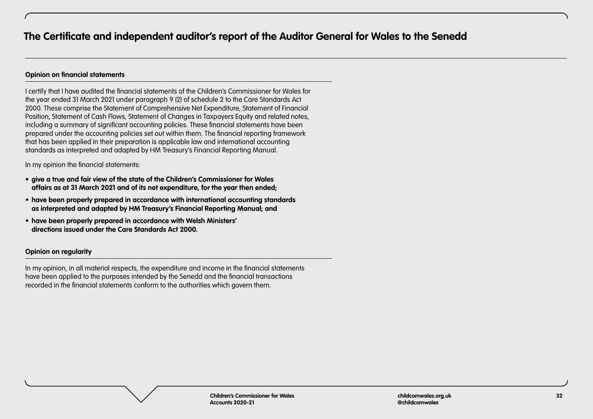# <span id="page-31-0"></span>**Opinion on financial statements**

I certify that I have audited the financial statements of the Children's Commissioner for Wales for the year ended 31 March 2021 under paragraph 9 (2) of schedule 2 to the Care Standards Act 2000. These comprise the Statement of Comprehensive Net Expenditure, Statement of Financial Position, Statement of Cash Flows, Statement of Changes in Taxpayers Equity and related notes, including a summary of significant accounting policies. These financial statements have been prepared under the accounting policies set out within them. The financial reporting framework that has been applied in their preparation is applicable law and international accounting standards as interpreted and adapted by HM Treasury's Financial Reporting Manual.

In my opinion the financial statements:

- **• give a true and fair view of the state of the Children's Commissioner for Wales affairs as at 31 March 2021 and of its net expenditure, for the year then ended;**
- **• have been properly prepared in accordance with international accounting standards as interpreted and adapted by HM Treasury's Financial Reporting Manual; and**
- **• have been properly prepared in accordance with Welsh Ministers' directions issued under the Care Standards Act 2000.**

# **Opinion on regularity**

In my opinion, in all material respects, the expenditure and income in the financial statements have been applied to the purposes intended by the Senedd and the financial transactions recorded in the financial statements conform to the authorities which govern them.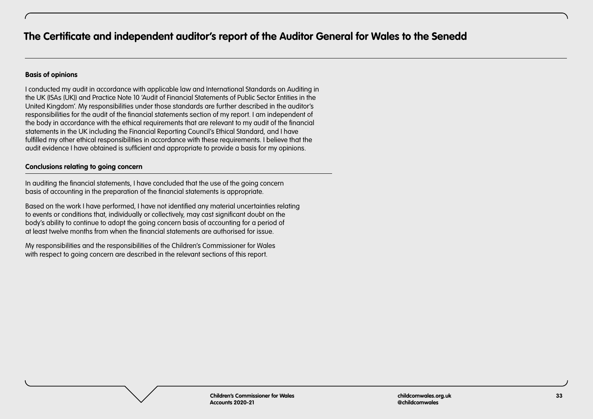## **Basis of opinions**

I conducted my audit in accordance with applicable law and International Standards on Auditing in the UK (ISAs (UK)) and Practice Note 10 'Audit of Financial Statements of Public Sector Entities in the United Kingdom'. My responsibilities under those standards are further described in the auditor's responsibilities for the audit of the financial statements section of my report. I am independent of the body in accordance with the ethical requirements that are relevant to my audit of the financial statements in the UK including the Financial Reporting Council's Ethical Standard, and I have fulfilled my other ethical responsibilities in accordance with these requirements. I believe that the audit evidence I have obtained is sufficient and appropriate to provide a basis for my opinions.

# **Conclusions relating to going concern**

In auditing the financial statements, I have concluded that the use of the going concern basis of accounting in the preparation of the financial statements is appropriate.

Based on the work I have performed, I have not identified any material uncertainties relating to events or conditions that, individually or collectively, may cast significant doubt on the body's ability to continue to adopt the going concern basis of accounting for a period of at least twelve months from when the financial statements are authorised for issue.

My responsibilities and the responsibilities of the Children's Commissioner for Wales with respect to going concern are described in the relevant sections of this report.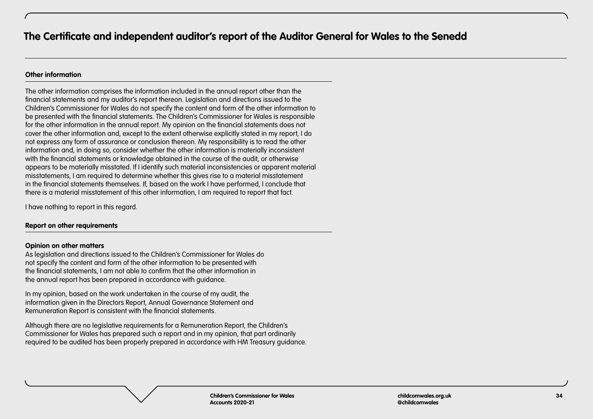# **Other information**

The other information comprises the information included in the annual report other than the financial statements and my auditor's report thereon. Legislation and directions issued to the Children's Commissioner for Wales do not specify the content and form of the other information to be presented with the financial statements. The Children's Commissioner for Wales is responsible for the other information in the annual report. My opinion on the financial statements does not cover the other information and, except to the extent otherwise explicitly stated in my report, I do not express any form of assurance or conclusion thereon. My responsibility is to read the other information and, in doing so, consider whether the other information is materially inconsistent with the financial statements or knowledge obtained in the course of the audit, or otherwise appears to be materially misstated. If I identify such material inconsistencies or apparent material misstatements, I am required to determine whether this gives rise to a material misstatement in the financial statements themselves. If, based on the work I have performed, I conclude that there is a material misstatement of this other information, I am required to report that fact.

I have nothing to report in this regard.

# **Report on other requirements**

#### **Opinion on other matters**

As legislation and directions issued to the Children's Commissioner for Wales do not specify the content and form of the other information to be presented with the financial statements, I am not able to confirm that the other information in the annual report has been prepared in accordance with guidance.

In my opinion, based on the work undertaken in the course of my audit, the information given in the Directors Report, Annual Governance Statement and Remuneration Report is consistent with the financial statements.

Although there are no legislative requirements for a Remuneration Report, the Children's Commissioner for Wales has prepared such a report and in my opinion, that part ordinarily required to be audited has been properly prepared in accordance with HM Treasury guidance.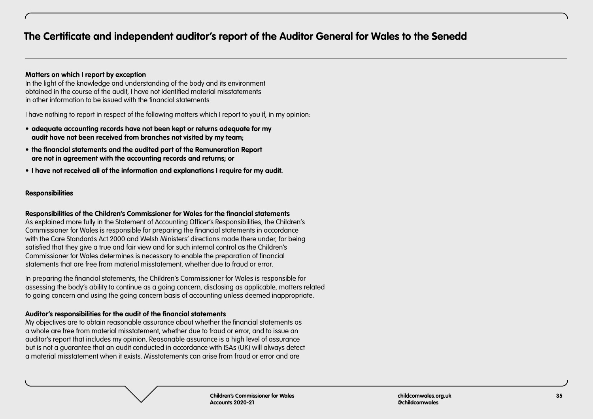# **Matters on which I report by exception**

In the light of the knowledge and understanding of the body and its environment obtained in the course of the audit, I have not identified material misstatements in other information to be issued with the financial statements

I have nothing to report in respect of the following matters which I report to you if, in my opinion:

- **• adequate accounting records have not been kept or returns adequate for my audit have not been received from branches not visited by my team;**
- **• the financial statements and the audited part of the Remuneration Report are not in agreement with the accounting records and returns; or**
- **• I have not received all of the information and explanations I require for my audit.**

# **Responsibilities**

#### **Responsibilities of the Children's Commissioner for Wales for the financial statements**

As explained more fully in the Statement of Accounting Officer's Responsibilities, the Children's Commissioner for Wales is responsible for preparing the financial statements in accordance with the Care Standards Act 2000 and Welsh Ministers' directions made there under, for being satisfied that they give a true and fair view and for such internal control as the Children's Commissioner for Wales determines is necessary to enable the preparation of financial statements that are free from material misstatement, whether due to fraud or error.

In preparing the financial statements, the Children's Commissioner for Wales is responsible for assessing the body's ability to continue as a going concern, disclosing as applicable, matters related to going concern and using the going concern basis of accounting unless deemed inappropriate.

# **Auditor's responsibilities for the audit of the financial statements**

My objectives are to obtain reasonable assurance about whether the financial statements as a whole are free from material misstatement, whether due to fraud or error, and to issue an auditor's report that includes my opinion. Reasonable assurance is a high level of assurance but is not a guarantee that an audit conducted in accordance with ISAs (UK) will always detect a material misstatement when it exists. Misstatements can arise from fraud or error and are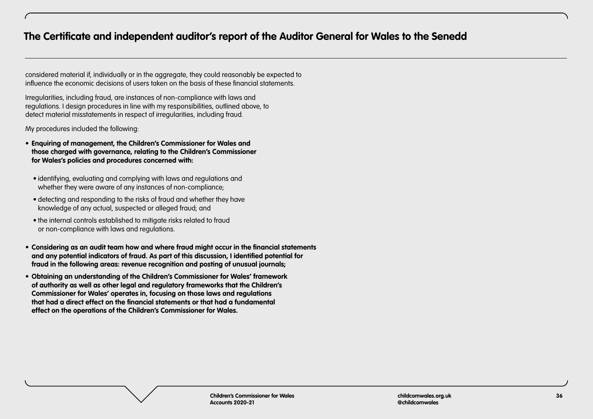considered material if, individually or in the aggregate, they could reasonably be expected to influence the economic decisions of users taken on the basis of these financial statements.

Irregularities, including fraud, are instances of non-compliance with laws and regulations. I design procedures in line with my responsibilities, outlined above, to detect material misstatements in respect of irregularities, including fraud.

My procedures included the following:

- **• Enquiring of management, the Children's Commissioner for Wales and those charged with governance, relating to the Children's Commissioner for Wales's policies and procedures concerned with:** 
	- identifying, evaluating and complying with laws and regulations and whether they were aware of any instances of non-compliance;
	- detecting and responding to the risks of fraud and whether they have knowledge of any actual, suspected or alleged fraud; and
	- the internal controls established to mitigate risks related to fraud or non-compliance with laws and regulations.
- **• Considering as an audit team how and where fraud might occur in the financial statements and any potential indicators of fraud. As part of this discussion, I identified potential for fraud in the following areas: revenue recognition and posting of unusual journals;**
- **• Obtaining an understanding of the Children's Commissioner for Wales' framework of authority as well as other legal and regulatory frameworks that the Children's Commissioner for Wales' operates in, focusing on those laws and regulations that had a direct effect on the financial statements or that had a fundamental effect on the operations of the Children's Commissioner for Wales.**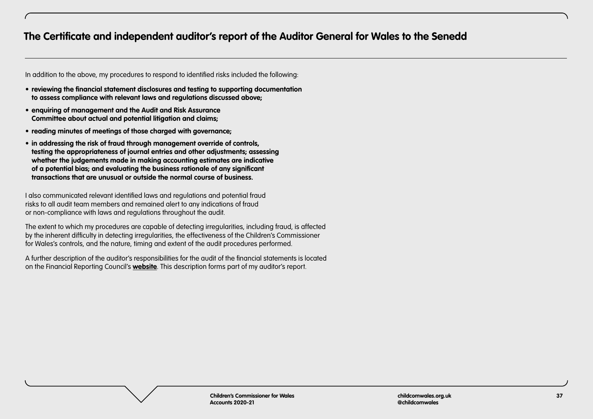In addition to the above, my procedures to respond to identified risks included the following:

- **• reviewing the financial statement disclosures and testing to supporting documentation to assess compliance with relevant laws and regulations discussed above;**
- **• enquiring of management and the Audit and Risk Assurance Committee about actual and potential litigation and claims;**
- **• reading minutes of meetings of those charged with governance;**
- **• in addressing the risk of fraud through management override of controls, testing the appropriateness of journal entries and other adjustments; assessing whether the judgements made in making accounting estimates are indicative of a potential bias; and evaluating the business rationale of any significant transactions that are unusual or outside the normal course of business.**

I also communicated relevant identified laws and regulations and potential fraud risks to all audit team members and remained alert to any indications of fraud or non-compliance with laws and regulations throughout the audit.

The extent to which my procedures are capable of detecting irregularities, including fraud, is affected by the inherent difficulty in detecting irregularities, the effectiveness of the Children's Commissioner for Wales's controls, and the nature, timing and extent of the audit procedures performed.

A further description of the auditor's responsibilities for the audit of the financial statements is located on the Financial Reporting Council's **[website](https://www.frc.org.uk/auditors/audit-assurance/auditor-s-responsibilities-for-the-audit-of-the-fi/description-of-the-auditor’s-responsibilities-for)**. This description forms part of my auditor's report.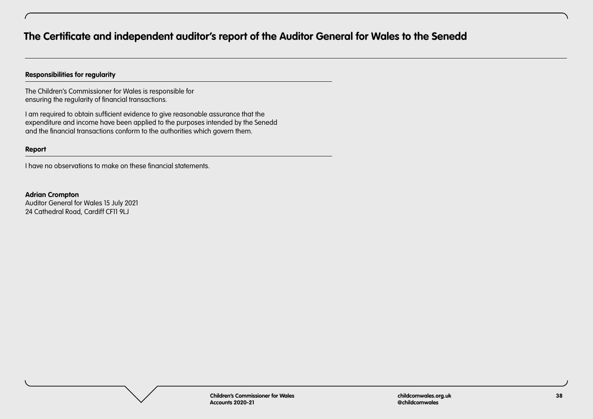# **Responsibilities for regularity**

The Children's Commissioner for Wales is responsible for ensuring the regularity of financial transactions.

I am required to obtain sufficient evidence to give reasonable assurance that the expenditure and income have been applied to the purposes intended by the Senedd and the financial transactions conform to the authorities which govern them.

#### **Report**

I have no observations to make on these financial statements.

**Adrian Crompton** Auditor General for Wales 15 July 2021 24 Cathedral Road, Cardiff CF11 9LJ

> **Children's Commissioner for Wales Accounts 2020-21**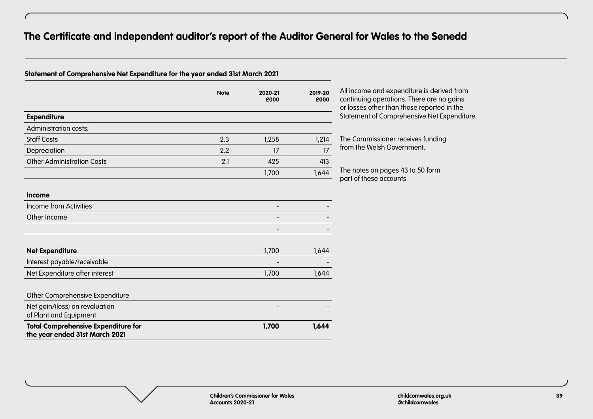# **Statement of Comprehensive Net Expenditure for the year ended 31st March 2021**

|                                   | <b>Note</b> | 2020-21<br>£000 | 2019-20<br>£000 |
|-----------------------------------|-------------|-----------------|-----------------|
| <b>Expenditure</b>                |             |                 |                 |
| Administration costs:             |             |                 |                 |
| <b>Staff Costs</b>                | 2.3         | 1,258           | 1,214           |
| Depreciation                      | 2.2         | 17              | 17              |
| <b>Other Administration Costs</b> | 2.1         | 425             | 413             |
|                                   |             | 1,700           | 1,644           |
|                                   |             |                 |                 |
| <b>Income</b>                     |             |                 |                 |
| Income from Activities            |             |                 |                 |
| Other Income                      |             |                 |                 |

All income and expenditure is derived from continuing operations. There are no gains or losses other than those reported in the Statement of Comprehensive Net Expenditure.

The Commissioner receives funding from the Welsh Government.

The notes on pages 43 to 50 form part of these accounts

| Income from Activities         |                          |       |
|--------------------------------|--------------------------|-------|
| Other Income                   | $\overline{\phantom{0}}$ |       |
|                                |                          |       |
| <b>Net Expenditure</b>         | 1,700                    | 1,644 |
| Interest payable/receivable    | -                        |       |
| Net Expenditure after interest | 1.700                    | 1.644 |

| <b>Total Comprehensive Expenditure for</b><br>the year ended 31st March 2021 | 1.700 | 1.644 |
|------------------------------------------------------------------------------|-------|-------|
| Net gain/(loss) on revaluation<br>of Plant and Equipment                     |       |       |
| Other Comprehensive Expenditure                                              |       |       |
|                                                                              |       |       |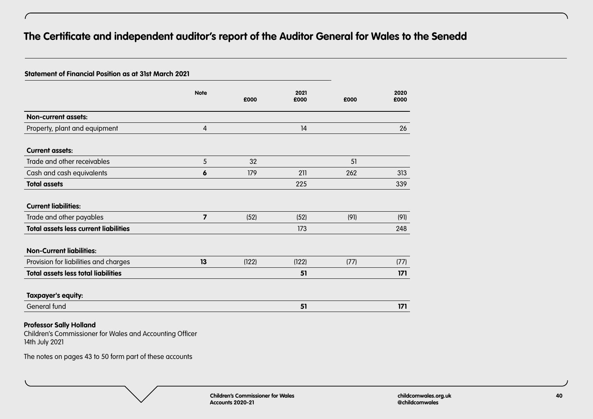## **Statement of Financial Position as at 31st March 2021**

|                                              | <b>Note</b>             | £000  | 2021<br>£000 | £000 | 2020<br>£000 |
|----------------------------------------------|-------------------------|-------|--------------|------|--------------|
| <b>Non-current assets:</b>                   |                         |       |              |      |              |
| Property, plant and equipment                | $\overline{4}$          |       | 14           |      | 26           |
| <b>Current assets:</b>                       |                         |       |              |      |              |
| Trade and other receivables                  | 5                       | 32    |              | 51   |              |
| Cash and cash equivalents                    | 6                       | 179   | 211          | 262  | 313          |
| <b>Total assets</b>                          |                         |       | 225          |      | 339          |
| <b>Current liabilities:</b>                  |                         |       |              |      |              |
| Trade and other payables                     | $\overline{\mathbf{z}}$ | (52)  | (52)         | (91) | (91)         |
| <b>Total assets less current liabilities</b> |                         |       | 173          |      | 248          |
| <b>Non-Current liabilities:</b>              |                         |       |              |      |              |
| Provision for liabilities and charges        | 13                      | (122) | (122)        | (77) | (77)         |
| <b>Total assets less total liabilities</b>   |                         |       | 51           |      | 171          |
| Taxpayer's equity:                           |                         |       |              |      |              |
| General fund                                 |                         |       | 51           |      | 171          |
|                                              |                         |       |              |      |              |

# **Professor Sally Holland**

Children's Commissioner for Wales and Accounting Officer 14th July 2021

The notes on pages 43 to 50 form part of these accounts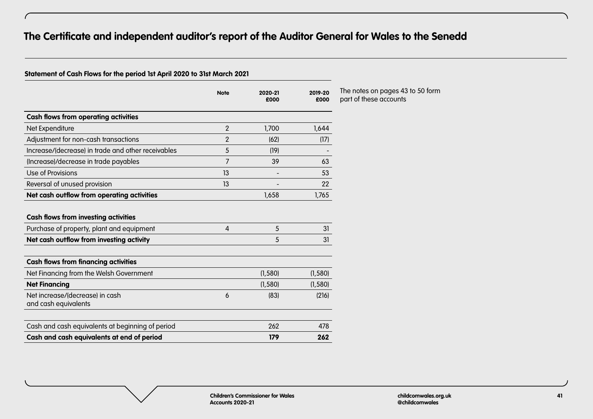# **Statement of Cash Flows for the period 1st April 2020 to 31st March 2021**

|                                                                                          | <b>Note</b>    | 2020-21<br>£000 | 2019-20<br>£000 |
|------------------------------------------------------------------------------------------|----------------|-----------------|-----------------|
| <b>Cash flows from operating activities</b>                                              |                |                 |                 |
| Net Expenditure                                                                          | $\overline{2}$ | 1,700           | 1,644           |
| Adjustment for non-cash transactions                                                     | $\overline{2}$ | (62)            | (17)            |
| Increase/(decrease) in trade and other receivables                                       | 5              | (19)            |                 |
| (Increase)/decrease in trade payables                                                    | 7              | 39              | 63              |
| Use of Provisions                                                                        | 13             |                 | 53              |
| Reversal of unused provision                                                             | 13             |                 | 22              |
| Net cash outflow from operating activities                                               |                | 1,658           | 1,765           |
| <b>Cash flows from investing activities</b><br>Purchase of property, plant and equipment | $\overline{4}$ | 5               | 31              |
| Net cash outflow from investing activity                                                 |                | 5               | 31              |
| <b>Cash flows from financing activities</b>                                              |                |                 |                 |
| Net Financing from the Welsh Government                                                  |                | (1, 580)        | (1, 580)        |
| <b>Net Financing</b>                                                                     |                | (1,580)         | (1, 580)        |
| Net increase/(decrease) in cash<br>and cash equivalents                                  | 6              | (83)            | (216)           |
| Cash and cash equivalents at beginning of period                                         |                | 262             | 478             |
| Cash and cash equivalents at end of period                                               |                | 179             | 262             |

The notes on pages 43 to 50 form part of these accounts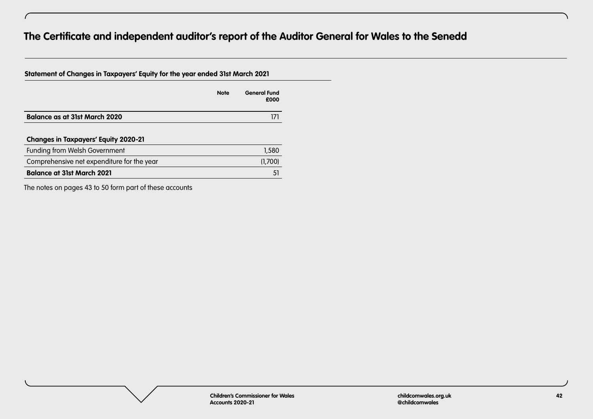| Statement of Changes in Taxpayers' Equity for the year ended 31st March 2021 |             |                             |
|------------------------------------------------------------------------------|-------------|-----------------------------|
|                                                                              | <b>Note</b> | <b>General Fund</b><br>£000 |
| <b>Balance as at 31st March 2020</b>                                         |             |                             |
| <b>Changes in Taxpayers' Equity 2020-21</b>                                  |             |                             |
| Funding from Welsh Government                                                |             | 1,580                       |
| Comprehensive net expenditure for the year                                   |             | (1,700)                     |
| <b>Balance at 31st March 2021</b>                                            |             | 5 <sup>1</sup>              |

The notes on pages 43 to 50 form part of these accounts

**Children's Commissioner for Wales Accounts 2020-21**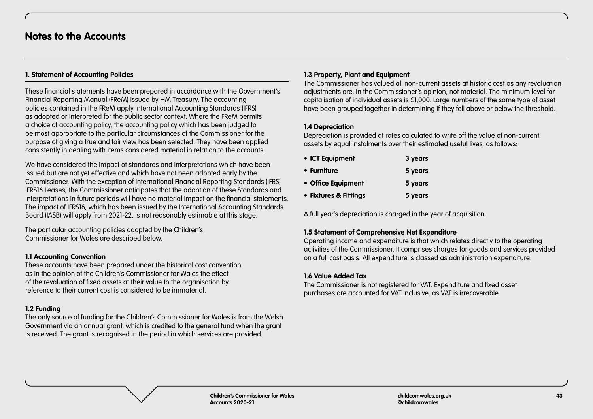# **1. Statement of Accounting Policies**

These financial statements have been prepared in accordance with the Government's Financial Reporting Manual (FReM) issued by HM Treasury. The accounting policies contained in the FReM apply International Accounting Standards (IFRS) as adopted or interpreted for the public sector context. Where the FReM permits a choice of accounting policy, the accounting policy which has been judged to be most appropriate to the particular circumstances of the Commissioner for the purpose of giving a true and fair view has been selected. They have been applied consistently in dealing with items considered material in relation to the accounts.

We have considered the impact of standards and interpretations which have been issued but are not yet effective and which have not been adopted early by the Commissioner. With the exception of International Financial Reporting Standards (IFRS) IFRS16 Leases, the Commissioner anticipates that the adoption of these Standards and interpretations in future periods will have no material impact on the financial statements. The impact of IFRS16, which has been issued by the International Accounting Standards Board (IASB) will apply from 2021-22, is not reasonably estimable at this stage.

The particular accounting policies adopted by the Children's Commissioner for Wales are described below.

# **1.1 Accounting Convention**

These accounts have been prepared under the historical cost convention as in the opinion of the Children's Commissioner for Wales the effect of the revaluation of fixed assets at their value to the organisation by reference to their current cost is considered to be immaterial.

# **1.2 Funding**

The only source of funding for the Children's Commissioner for Wales is from the Welsh Government via an annual grant, which is credited to the general fund when the grant is received. The grant is recognised in the period in which services are provided.

# **1.3 Property, Plant and Equipment**

The Commissioner has valued all non-current assets at historic cost as any revaluation adjustments are, in the Commissioner's opinion, not material. The minimum level for capitalisation of individual assets is £1,000. Large numbers of the same type of asset have been grouped together in determining if they fell above or below the threshold.

# **1.4 Depreciation**

Depreciation is provided at rates calculated to write off the value of non-current assets by equal instalments over their estimated useful lives, as follows:

| • ICT Equipment       | 3 years |
|-----------------------|---------|
| • Furniture           | 5 years |
| • Office Equipment    | 5 years |
| • Fixtures & Fittings | 5 years |

A full year's depreciation is charged in the year of acquisition.

# **1.5 Statement of Comprehensive Net Expenditure**

Operating income and expenditure is that which relates directly to the operating activities of the Commissioner. It comprises charges for goods and services provided on a full cost basis. All expenditure is classed as administration expenditure.

# **1.6 Value Added Tax**

The Commissioner is not registered for VAT. Expenditure and fixed asset purchases are accounted for VAT inclusive, as VAT is irrecoverable.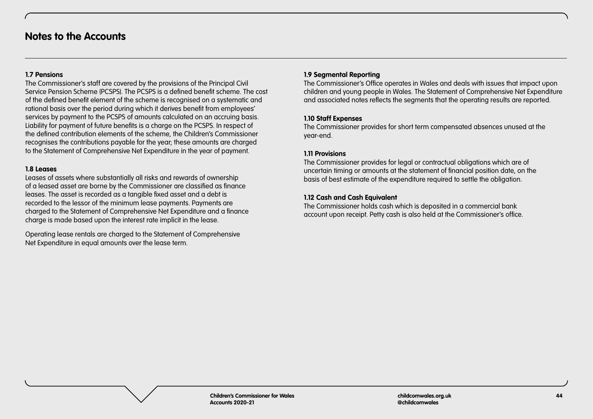# **1.7 Pensions**

The Commissioner's staff are covered by the provisions of the Principal Civil Service Pension Scheme (PCSPS). The PCSPS is a defined benefit scheme. The cost of the defined benefit element of the scheme is recognised on a systematic and rational basis over the period during which it derives benefit from employees' services by payment to the PCSPS of amounts calculated on an accruing basis. Liability for payment of future benefits is a charge on the PCSPS. In respect of the defined contribution elements of the scheme, the Children's Commissioner recognises the contributions payable for the year; these amounts are charged to the Statement of Comprehensive Net Expenditure in the year of payment.

# **1.8 Leases**

Leases of assets where substantially all risks and rewards of ownership of a leased asset are borne by the Commissioner are classified as finance leases. The asset is recorded as a tangible fixed asset and a debt is recorded to the lessor of the minimum lease payments. Payments are charged to the Statement of Comprehensive Net Expenditure and a finance charge is made based upon the interest rate implicit in the lease.

Operating lease rentals are charged to the Statement of Comprehensive Net Expenditure in equal amounts over the lease term.

# **1.9 Segmental Reporting**

The Commissioner's Office operates in Wales and deals with issues that impact upon children and young people in Wales. The Statement of Comprehensive Net Expenditure and associated notes reflects the segments that the operating results are reported.

# **1.10 Staff Expenses**

The Commissioner provides for short term compensated absences unused at the year-end.

# **1.11 Provisions**

The Commissioner provides for legal or contractual obligations which are of uncertain timing or amounts at the statement of financial position date, on the basis of best estimate of the expenditure required to settle the obligation.

# **1.12 Cash and Cash Equivalent**

The Commissioner holds cash which is deposited in a commercial bank account upon receipt. Petty cash is also held at the Commissioner's office.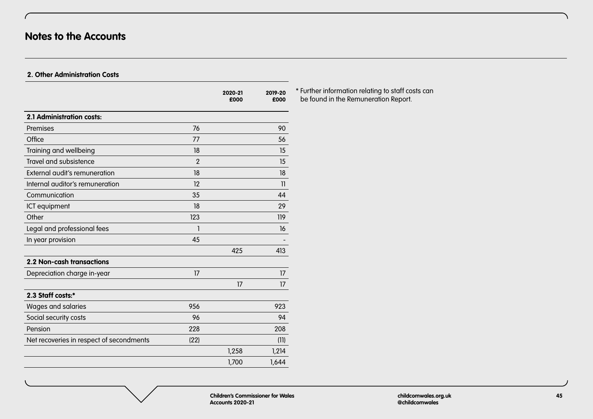# **Notes to the Accounts**

 $\sqrt{ }$ 

# **2. Other Administration Costs**

|                                          |                | 2020-21<br>£000 | 2019-20<br>£000 |
|------------------------------------------|----------------|-----------------|-----------------|
| 2.1 Administration costs:                |                |                 |                 |
| Premises                                 | 76             |                 | 90              |
| Office                                   | 77             |                 | 56              |
| Training and wellbeing                   | 18             |                 | 15              |
| Travel and subsistence                   | $\overline{2}$ |                 | 15              |
| External audit's remuneration            | 18             |                 | 18              |
| Internal auditor's remuneration          | 12             |                 | 11              |
| Communication                            | 35             |                 | 44              |
| ICT equipment                            | 18             |                 | 29              |
| Other                                    | 123            |                 | 119             |
| Legal and professional fees              | 1              |                 | 16              |
| In year provision                        | 45             |                 |                 |
|                                          |                | 425             | 413             |
| 2.2 Non-cash transactions                |                |                 |                 |
| Depreciation charge in-year              | 17             |                 | 17              |
|                                          |                | 17              | 17              |
| 2.3 Staff costs:*                        |                |                 |                 |
| Wages and salaries                       | 956            |                 | 923             |
| Social security costs                    | 96             |                 | 94              |
| Pension                                  | 228            |                 | 208             |
| Net recoveries in respect of secondments | (22)           |                 | (11)            |
|                                          |                | 1,258           | 1,214           |
|                                          |                | 1,700           | 1,644           |
|                                          |                |                 |                 |

\* Further information relating to staff costs can be found in the Remuneration Report.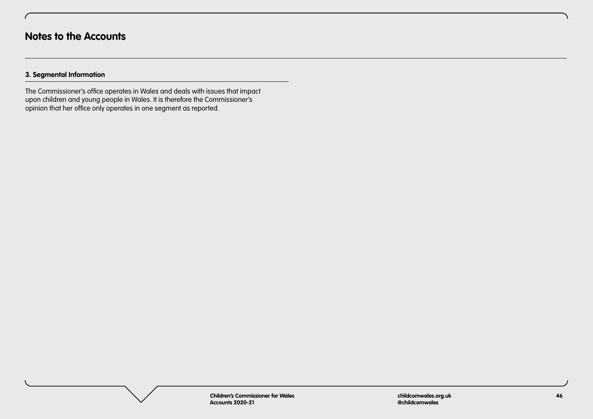# **3. Segmental Information**

The Commissioner's office operates in Wales and deals with issues that impact upon children and young people in Wales. It is therefore the Commissioner's opinion that her office only operates in one segment as reported.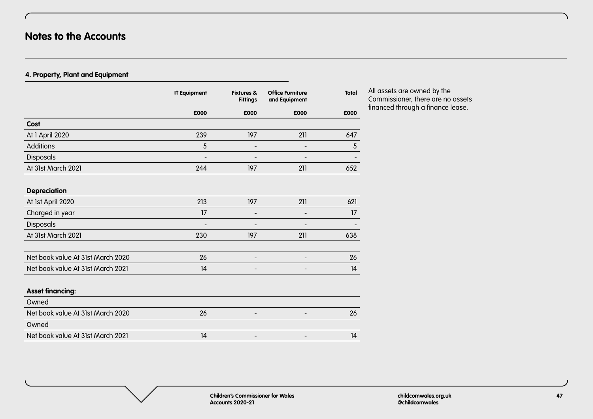# **Notes to the Accounts**

 $\sqrt{ }$ 

# **4. Property, Plant and Equipment**

|                                   | <b>IT Equipment</b>      | <b>Fixtures &amp;</b><br><b>Fittings</b> | <b>Office Furniture</b><br>and Equipment | <b>Total</b> |
|-----------------------------------|--------------------------|------------------------------------------|------------------------------------------|--------------|
|                                   | £000                     | £000                                     | £000                                     | £000         |
| Cost                              |                          |                                          |                                          |              |
| At 1 April 2020                   | 239                      | 197                                      | 211                                      | 647          |
| Additions                         | 5                        |                                          |                                          | 5            |
| Disposals                         |                          |                                          |                                          |              |
| At 31st March 2021                | 244                      | 197                                      | 211                                      | 652          |
|                                   |                          |                                          |                                          |              |
| <b>Depreciation</b>               |                          |                                          |                                          |              |
| At 1st April 2020                 | 213                      | 197                                      | 211                                      | 621          |
| Charged in year                   | 17                       |                                          |                                          | 17           |
| Disposals                         | $\overline{\phantom{a}}$ |                                          |                                          |              |
| At 31st March 2021                | 230                      | 197                                      | 211                                      | 638          |
|                                   |                          |                                          |                                          |              |
| Net book value At 31st March 2020 | 26                       |                                          | $\qquad \qquad -$                        | 26           |
| Net book value At 31st March 2021 | 14                       | $\overline{\phantom{0}}$                 |                                          | 14           |
|                                   |                          |                                          |                                          |              |
| <b>Asset financing:</b>           |                          |                                          |                                          |              |
| Owned                             |                          |                                          |                                          |              |
| Net book value At 31st March 2020 | 26                       | $\overline{\phantom{a}}$                 | $\overline{\phantom{a}}$                 | 26           |
| Owned                             |                          |                                          |                                          |              |
| Net book value At 31st March 2021 | 4                        |                                          |                                          | 14           |

## All assets are owned by the Commissioner, there are no assets financed through a finance lease.

**Children's Commissioner for Wales Accounts 2020-21**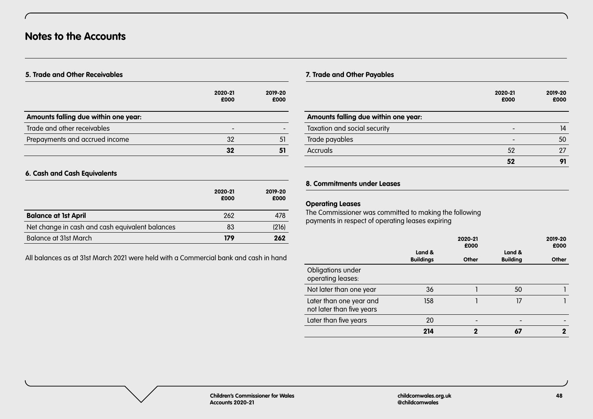# **5. Trade and Other Receivables**

|                                      | 2020-21<br>£000 | 2019-20<br>£000 |
|--------------------------------------|-----------------|-----------------|
| Amounts falling due within one year: |                 |                 |
| Trade and other receivables          |                 |                 |
| Prepayments and accrued income       | 32              | 5 <sup>1</sup>  |
|                                      | 32              |                 |

# **6. Cash and Cash Equivalents**

|                                                 | 2020-21<br>£000 | 2019-20<br>£000 |
|-------------------------------------------------|-----------------|-----------------|
| <b>Balance at 1st April</b>                     | 262             | 478             |
| Net change in cash and cash equivalent balances | 83              | (216)           |
| Balance at 31st March                           | 179             | 262             |

All balances as at 31st March 2021 were held with a Commercial bank and cash in hand

# **7. Trade and Other Payables**

|                                      | 2020-21<br>£000 | 2019-20<br>£000 |
|--------------------------------------|-----------------|-----------------|
| Amounts falling due within one year: |                 |                 |
| Taxation and social security         | -               | 14              |
| Trade payables                       | -               | 50              |
| Accruals                             | 52              | 27              |
|                                      | 52              | 91              |

# **8. Commitments under Leases**

#### **Operating Leases**

The Commissioner was committed to making the following payments in respect of operating leases expiring

|                                                      | Land &           | 2020-21<br>£000 | Land &          | 2019-20<br>£000 |
|------------------------------------------------------|------------------|-----------------|-----------------|-----------------|
|                                                      | <b>Buildings</b> | Other           | <b>Building</b> | Other           |
| Obligations under<br>operating leases:               |                  |                 |                 |                 |
| Not later than one year                              | 36               |                 | 50              |                 |
| Later than one year and<br>not later than five years | 158              |                 | 17              |                 |
| Later than five years                                | 20               |                 |                 |                 |
|                                                      | 214              | 2               | 67              | 2               |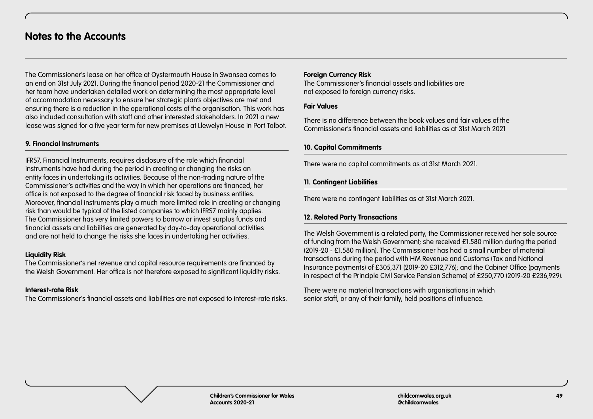# **Notes to the Accounts**

The Commissioner's lease on her office at Oystermouth House in Swansea comes to an end on 31st July 2021. During the financial period 2020-21 the Commissioner and her team have undertaken detailed work on determining the most appropriate level of accommodation necessary to ensure her strategic plan's objectives are met and ensuring there is a reduction in the operational costs of the organisation. This work has also included consultation with staff and other interested stakeholders. In 2021 a new lease was signed for a five year term for new premises at Llewelyn House in Port Talbot.

# **9. Financial Instruments**

IFRS7, Financial Instruments, requires disclosure of the role which financial instruments have had during the period in creating or changing the risks an entity faces in undertaking its activities. Because of the non-trading nature of the Commissioner's activities and the way in which her operations are financed, her office is not exposed to the degree of financial risk faced by business entities. Moreover, financial instruments play a much more limited role in creating or changing risk than would be typical of the listed companies to which IFRS7 mainly applies. The Commissioner has very limited powers to borrow or invest surplus funds and financial assets and liabilities are generated by day-to-day operational activities and are not held to change the risks she faces in undertaking her activities.

#### **Liquidity Risk**

The Commissioner's net revenue and capital resource requirements are financed by the Welsh Government. Her office is not therefore exposed to significant liquidity risks.

#### **Interest-rate Risk**

The Commissioner's financial assets and liabilities are not exposed to interest-rate risks.

#### **Foreign Currency Risk**

The Commissioner's financial assets and liabilities are not exposed to foreign currency risks.

#### **Fair Values**

There is no difference between the book values and fair values of the Commissioner's financial assets and liabilities as at 31st March 2021

## **10. Capital Commitments**

There were no capital commitments as at 31st March 2021.

## **11. Contingent Liabilities**

There were no contingent liabilities as at 31st March 2021.

# **12. Related Party Transactions**

The Welsh Government is a related party, the Commissioner received her sole source of funding from the Welsh Government; she received £1.580 million during the period (2019-20 - £1.580 million). The Commissioner has had a small number of material transactions during the period with HM Revenue and Customs (Tax and National Insurance payments) of £305,371 (2019-20 £312,776); and the Cabinet Office (payments in respect of the Principle Civil Service Pension Scheme) of £250,770 (2019-20 £236,929).

There were no material transactions with organisations in which senior staff, or any of their family, held positions of influence.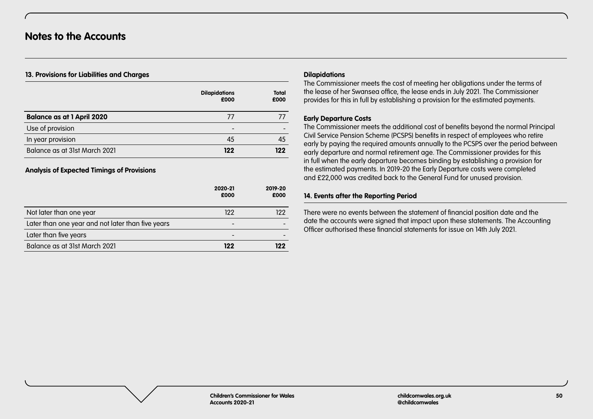## **13. Provisions for Liabilities and Charges**

|                                   | <b>Dilapidations</b><br>£000 | <b>Total</b><br>£000 |
|-----------------------------------|------------------------------|----------------------|
| <b>Balance as at 1 April 2020</b> | 77                           |                      |
| Use of provision                  | -                            |                      |
| In year provision                 | 45                           | 45                   |
| Balance as at 31st March 2021     | 122                          | 122                  |

# **Analysis of Expected Timings of Provisions**

|                                                   | 2020-21<br>£000          | 2019-20<br>£000 |
|---------------------------------------------------|--------------------------|-----------------|
| Not later than one year                           | 122                      | 122             |
| Later than one year and not later than five years | $\overline{\phantom{0}}$ |                 |
| Later than five years                             | $\qquad \qquad$          |                 |
| Balance as at 31st March 2021                     | 122                      | 122             |

#### **Dilapidations**

The Commissioner meets the cost of meeting her obligations under the terms of the lease of her Swansea office, the lease ends in July 2021. The Commissioner provides for this in full by establishing a provision for the estimated payments.

## **Early Departure Costs**

The Commissioner meets the additional cost of benefits beyond the normal Principal Civil Service Pension Scheme (PCSPS) benefits in respect of employees who retire early by paying the required amounts annually to the PCSPS over the period between early departure and normal retirement age. The Commissioner provides for this in full when the early departure becomes binding by establishing a provision for the estimated payments. In 2019-20 the Early Departure costs were completed and £22,000 was credited back to the General Fund for unused provision.

## **14. Events after the Reporting Period**

There were no events between the statement of financial position date and the date the accounts were signed that impact upon these statements. The Accounting Officer authorised these financial statements for issue on 14th July 2021.